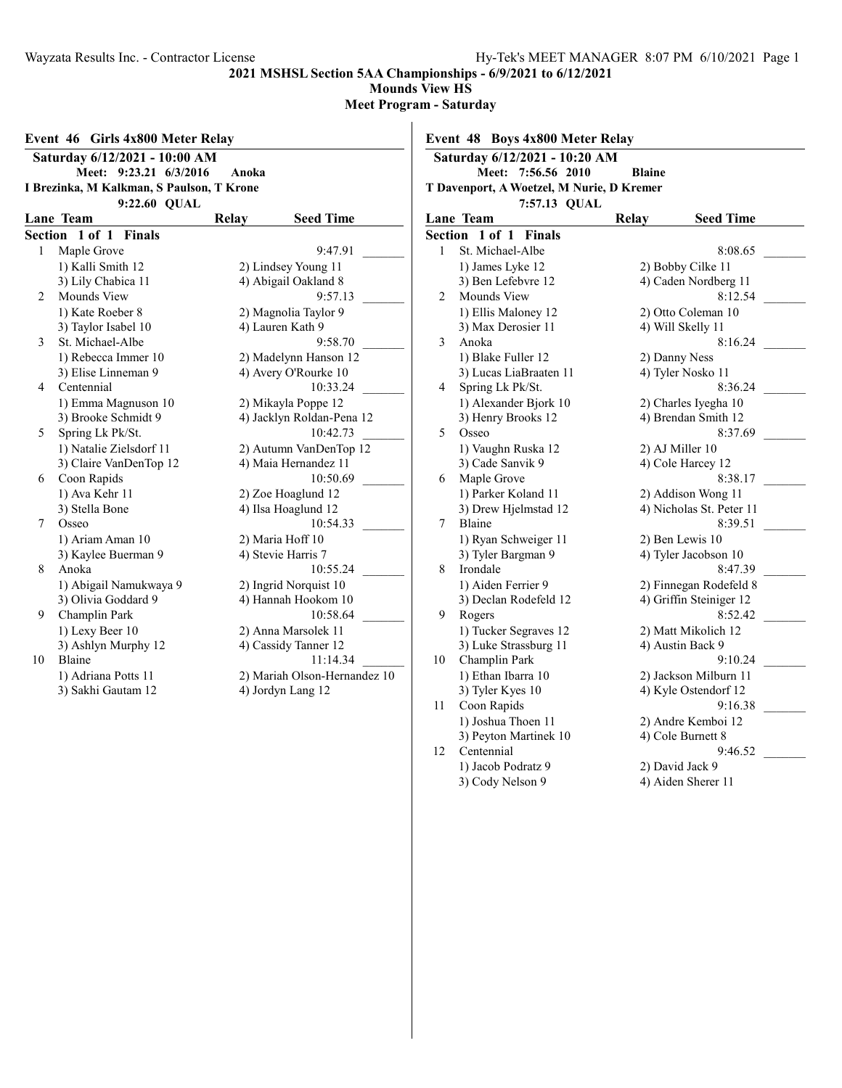12 Centennial 9<br>1) Jacob Podratz 9 2) David Jack 9

4) Aiden Sherer 11

1) Jacob Podratz 9<br>3) Cody Nelson 9

**2021 MSHSL Section 5AA Championships - 6/9/2021 to 6/12/2021**

**Mounds View HS**

**Meet Program - Saturday**

| Saturday 6/12/2021 - 10:00 AM<br>Meet: 9:23.21 6/3/2016<br>Anoka<br>I Brezinka, M Kalkman, S Paulson, T Krone<br>9:22.60 QUAL |                         |  | Saturday 6/12/2021 - 10:20 AM<br>Meet: 7:56.56 2010<br><b>Blaine</b><br>T Davenport, A Woetzel, M Nurie, D Kremer<br>7:57.13 QUAL |                          |                        |         |                          |
|-------------------------------------------------------------------------------------------------------------------------------|-------------------------|--|-----------------------------------------------------------------------------------------------------------------------------------|--------------------------|------------------------|---------|--------------------------|
| Lane Team<br>Relay<br><b>Seed Time</b>                                                                                        |                         |  |                                                                                                                                   |                          | Lane Team              | Relay   | <b>Seed Time</b>         |
|                                                                                                                               | Section 1 of 1 Finals   |  |                                                                                                                                   |                          | Section 1 of 1 Finals  |         |                          |
|                                                                                                                               | 1 Maple Grove           |  | 9:47.91                                                                                                                           | 1                        | St. Michael-Albe       |         | 8:08.65                  |
|                                                                                                                               | 1) Kalli Smith 12       |  | 2) Lindsey Young 11                                                                                                               |                          | 1) James Lyke 12       |         | 2) Bobby Cilke 11        |
|                                                                                                                               | 3) Lily Chabica 11      |  | 4) Abigail Oakland 8                                                                                                              |                          | 3) Ben Lefebvre 12     |         | 4) Caden Nordberg 11     |
| 2                                                                                                                             | Mounds View             |  | 9:57.13                                                                                                                           |                          | 2 Mounds View          |         | 8:12.54                  |
|                                                                                                                               | 1) Kate Roeber 8        |  | 2) Magnolia Taylor 9                                                                                                              |                          | 1) Ellis Maloney 12    |         | 2) Otto Coleman 10       |
|                                                                                                                               | 3) Taylor Isabel 10     |  | 4) Lauren Kath 9                                                                                                                  |                          | 3) Max Derosier 11     |         | 4) Will Skelly 11        |
| 3                                                                                                                             | St. Michael-Albe        |  | 9:58.70                                                                                                                           | 3                        | Anoka                  |         | 8:16.24                  |
|                                                                                                                               | 1) Rebecca Immer 10     |  | 2) Madelynn Hanson 12                                                                                                             |                          | 1) Blake Fuller 12     |         | 2) Danny Ness            |
|                                                                                                                               | 3) Elise Linneman 9     |  | 4) Avery O'Rourke 10                                                                                                              |                          | 3) Lucas LiaBraaten 11 |         | 4) Tyler Nosko 11        |
|                                                                                                                               | 4 Centennial            |  | 10:33.24                                                                                                                          | $\overline{4}$           | Spring Lk Pk/St.       | 8:36.24 |                          |
|                                                                                                                               | 1) Emma Magnuson 10     |  | 2) Mikayla Poppe 12                                                                                                               |                          | 1) Alexander Bjork 10  |         | 2) Charles Iyegha 10     |
|                                                                                                                               | 3) Brooke Schmidt 9     |  | 4) Jacklyn Roldan-Pena 12                                                                                                         |                          | 3) Henry Brooks 12     |         | 4) Brendan Smith 12      |
| 5                                                                                                                             | Spring Lk Pk/St.        |  | 10:42.73                                                                                                                          | $\overline{\mathcal{L}}$ | Osseo                  |         | 8:37.69                  |
|                                                                                                                               | 1) Natalie Zielsdorf 11 |  | 2) Autumn VanDenTop 12                                                                                                            |                          | 1) Vaughn Ruska 12     |         | 2) AJ Miller 10          |
|                                                                                                                               | 3) Claire VanDenTop 12  |  | 4) Maia Hernandez 11                                                                                                              |                          | 3) Cade Sanvik 9       |         | 4) Cole Harcey 12        |
| 6                                                                                                                             | Coon Rapids             |  | 10:50.69                                                                                                                          | 6                        | Maple Grove            |         | 8:38.17                  |
|                                                                                                                               | 1) Ava Kehr 11          |  | 2) Zoe Hoaglund 12                                                                                                                |                          | 1) Parker Koland 11    |         | 2) Addison Wong 11       |
|                                                                                                                               | 3) Stella Bone          |  | 4) Ilsa Hoaglund 12                                                                                                               |                          | 3) Drew Hjelmstad 12   |         | 4) Nicholas St. Peter 11 |
| 7 <sup>7</sup>                                                                                                                | Osseo                   |  | 10:54.33                                                                                                                          | $7^{\circ}$              | Blaine                 |         | 8:39.51                  |
|                                                                                                                               | 1) Ariam Aman 10        |  | 2) Maria Hoff 10                                                                                                                  |                          | 1) Ryan Schweiger 11   |         | 2) Ben Lewis 10          |
|                                                                                                                               | 3) Kaylee Buerman 9     |  | 4) Stevie Harris 7                                                                                                                |                          | 3) Tyler Bargman 9     |         | 4) Tyler Jacobson 10     |
| 8                                                                                                                             | Anoka                   |  | 10:55.24                                                                                                                          | 8                        | Irondale               |         | 8:47.39                  |
|                                                                                                                               | 1) Abigail Namukwaya 9  |  | 2) Ingrid Norquist 10                                                                                                             |                          | 1) Aiden Ferrier 9     |         | 2) Finnegan Rodefeld 8   |
|                                                                                                                               | 3) Olivia Goddard 9     |  | 4) Hannah Hookom 10                                                                                                               |                          | 3) Declan Rodefeld 12  |         | 4) Griffin Steiniger 12  |
| 9                                                                                                                             | Champlin Park           |  | 10:58.64                                                                                                                          | 9                        | Rogers                 |         | 8:52.42                  |
|                                                                                                                               | 1) Lexy Beer 10         |  | 2) Anna Marsolek 11                                                                                                               |                          | 1) Tucker Segraves 12  |         | 2) Matt Mikolich 12      |
|                                                                                                                               | 3) Ashlyn Murphy 12     |  | 4) Cassidy Tanner 12                                                                                                              |                          | 3) Luke Strassburg 11  |         | 4) Austin Back 9         |
| 10                                                                                                                            | Blaine                  |  | 11:14.34                                                                                                                          |                          | 10 Champlin Park       |         | 9:10.24                  |
|                                                                                                                               | 1) Adriana Potts 11     |  | 2) Mariah Olson-Hernandez 10                                                                                                      |                          | 1) Ethan Ibarra 10     |         | 2) Jackson Milburn 11    |
|                                                                                                                               | 3) Sakhi Gautam 12      |  | 4) Jordyn Lang 12                                                                                                                 |                          | 3) Tyler Kyes 10       |         | 4) Kyle Ostendorf 12     |
|                                                                                                                               |                         |  |                                                                                                                                   | 11                       | Coon Rapids            |         | 9:16.38                  |
|                                                                                                                               |                         |  |                                                                                                                                   |                          | 1) Joshua Thoen 11     |         | 2) Andre Kemboi 12       |
|                                                                                                                               |                         |  |                                                                                                                                   |                          | 3) Peyton Martinek 10  |         | 4) Cole Burnett 8        |
|                                                                                                                               |                         |  |                                                                                                                                   | 12                       | Centennial             |         | 9:46.52                  |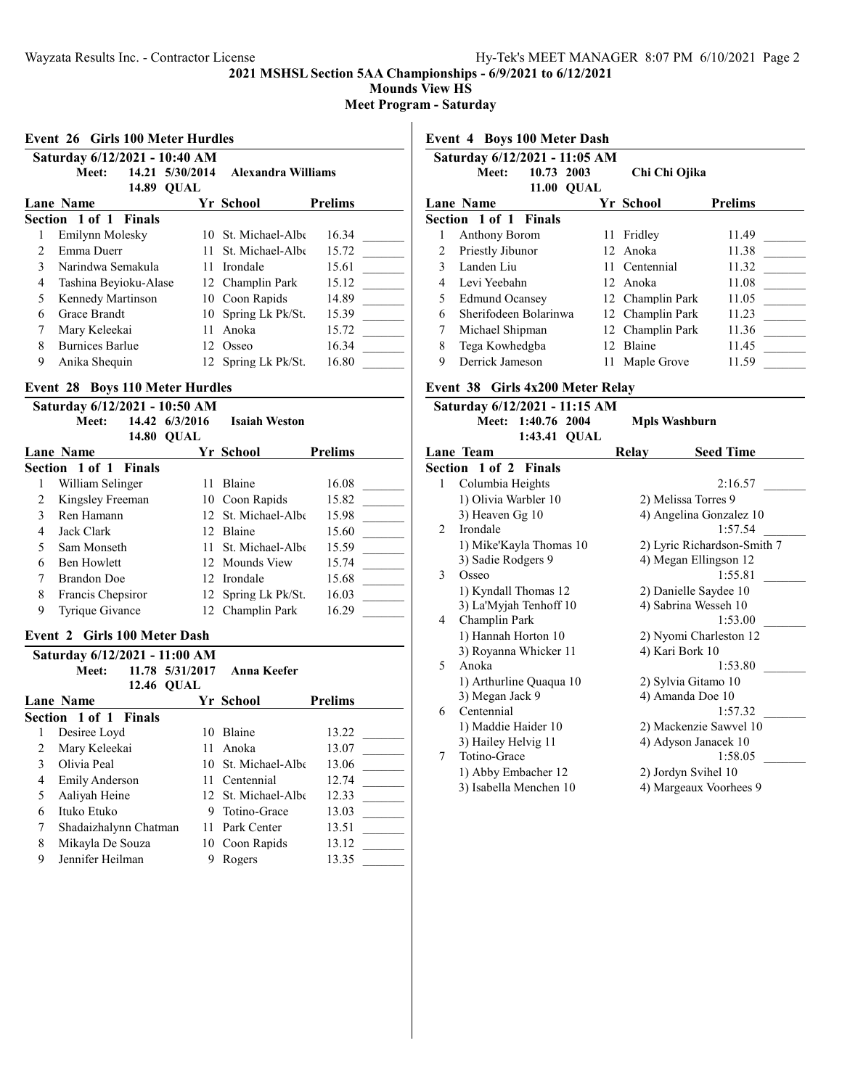**Mounds View HS**

**Meet Program - Saturday**

#### **Event 26 Girls 100 Meter Hurdles**

|                               |                       |       | SH 19 TOO BLOWE HULDING |                     |                |  |  |
|-------------------------------|-----------------------|-------|-------------------------|---------------------|----------------|--|--|
| Saturday 6/12/2021 - 10:40 AM |                       |       |                         |                     |                |  |  |
|                               | Meet:                 |       | 14.21 5/30/2014         | Alexandra Williams  |                |  |  |
|                               |                       | 14.89 | <b>OUAL</b>             |                     |                |  |  |
|                               | Lane Name             |       |                         | Yr School           | <b>Prelims</b> |  |  |
| Section 1 of 1 Finals         |                       |       |                         |                     |                |  |  |
|                               | Emilynn Molesky       |       |                         | 10 St. Michael-Albe | 16.34          |  |  |
| 2.                            | Emma Duerr            |       |                         | 11 St. Michael-Albe | 15.72          |  |  |
| 3                             | Narindwa Semakula     |       |                         | 11 Irondale         | 15.61          |  |  |
| 4                             | Tashina Beyioku-Alase |       |                         | 12 Champlin Park    | 15.12          |  |  |
| 5                             | Kennedy Martinson     |       |                         | 10 Coon Rapids      | 14.89          |  |  |
| 6                             | Grace Brandt          |       | 10.                     | Spring Lk Pk/St.    | 15.39          |  |  |
| 7                             | Mary Keleekai         |       | 11                      | Anoka               | 15.72          |  |  |
| 8                             | Burnices Barlue       |       | 12.                     | Osseo               | 16.34          |  |  |
| 9                             | Anika Shequin         |       |                         | 12 Spring Lk Pk/St. | 16.80          |  |  |
|                               |                       |       |                         |                     |                |  |  |

## **Event 28 Boys 110 Meter Hurdles**

| Saturday 6/12/2021 - 10:50 AM |                |                      |                |  |  |  |
|-------------------------------|----------------|----------------------|----------------|--|--|--|
| Meet:                         | 14.42 6/3/2016 | <b>Isaiah Weston</b> |                |  |  |  |
| 14.80                         | <b>OUAL</b>    |                      |                |  |  |  |
| <b>Lane Name</b>              |                | Yr School            | <b>Prelims</b> |  |  |  |
| <b>Section 1 of 1 Finals</b>  |                |                      |                |  |  |  |
| William Selinger              | 11             | <b>Blaine</b>        | 16.08          |  |  |  |
| Kingsley Freeman              |                | 10 Coon Rapids       | 15.82          |  |  |  |
| Ren Hamann<br>3               |                | 12 St. Michael-Albe  | 15.98          |  |  |  |
| Jack Clark<br>4               |                | 12 Blaine            | 15.60          |  |  |  |
| 5<br>Sam Monseth              |                | 11 St. Michael-Albe  | 15.59          |  |  |  |
| <b>Ben Howlett</b><br>6       |                | 12 Mounds View       | 15.74          |  |  |  |
| <b>Brandon Doe</b>            |                | 12 Irondale          | 15.68          |  |  |  |
| 8<br>Francis Chepsiror        |                | 12 Spring Lk Pk/St.  | 16.03          |  |  |  |
| Tyrique Givance<br>9          |                | 12 Champlin Park     | 16.29          |  |  |  |
|                               |                |                      |                |  |  |  |

## **Event 2 Girls 100 Meter Dash**

|               | Saturday 6/12/2021 - 11:00 AM |                   |                     |                |
|---------------|-------------------------------|-------------------|---------------------|----------------|
|               | Meet:                         | 11.78 5/31/2017   | Anna Keefer         |                |
|               |                               | <b>12.46 OUAL</b> |                     |                |
|               | Lane Name                     |                   | Yr School           | <b>Prelims</b> |
|               | Section 1 of 1 Finals         |                   |                     |                |
| 1             | Desiree Loyd                  | 10                | Blaine              | 13.22          |
| $\mathcal{L}$ | Mary Keleekai                 | 11                | Anoka               | 13.07          |
| 3             | Olivia Peal                   |                   | 10 St. Michael-Albe | 13.06          |
| 4             | <b>Emily Anderson</b>         |                   | 11 Centennial       | 12.74          |
| 5             | Aaliyah Heine                 |                   | 12 St. Michael-Albe | 12.33          |
| 6             | Ituko Etuko                   | 9                 | Totino-Grace        | 13.03          |
| 7             | Shadaizhalynn Chatman         |                   | 11 Park Center      | 13.51          |
| 8             | Mikayla De Souza              |                   | 10 Coon Rapids      | 13.12          |
| 9             | Jennifer Heilman              |                   | Rogers              | 13.35          |

**Event 4 Boys 100 Meter Dash**

| Saturday 6/12/2021 - 11:05 AM |                                |  |                  |                |  |  |  |  |
|-------------------------------|--------------------------------|--|------------------|----------------|--|--|--|--|
|                               | 10.73 2003<br>Meet:            |  | Chi Chi Ojika    |                |  |  |  |  |
|                               | 11.00 OUAL<br><b>Lane Name</b> |  | Yr School        | <b>Prelims</b> |  |  |  |  |
| Section 1 of 1 Finals         |                                |  |                  |                |  |  |  |  |
|                               | Anthony Borom                  |  | 11 Fridley       | 11.49          |  |  |  |  |
|                               | Priestly Jibunor               |  | 12 Anoka         | 11.38          |  |  |  |  |
| $\mathcal{E}$                 | Landen Liu                     |  | 11 Centennial    | 11.32          |  |  |  |  |
| 4                             | Levi Yeebahn                   |  | 12 Anoka         | 11.08          |  |  |  |  |
| 5                             | <b>Edmund Ocansey</b>          |  | 12 Champlin Park | 11.05          |  |  |  |  |
| 6                             | Sherifodeen Bolarinwa          |  | 12 Champlin Park | 11.23          |  |  |  |  |
|                               | Michael Shipman                |  | 12 Champlin Park | 11.36          |  |  |  |  |
| 8                             | Tega Kowhedgba                 |  | 12 Blaine        | 11.45          |  |  |  |  |
| 9                             | Derrick Jameson                |  | 11 Maple Grove   | 11.59          |  |  |  |  |

## **Event 38 Girls 4x200 Meter Relay**

| Saturday 6/12/2021 - 11:15 AM |                              |                         |                        |                             |  |  |
|-------------------------------|------------------------------|-------------------------|------------------------|-----------------------------|--|--|
|                               |                              | Meet: 1:40.76 2004      |                        | <b>Mpls Washburn</b>        |  |  |
|                               |                              | 1:43.41 QUAL            |                        |                             |  |  |
|                               | Lane Team                    |                         | Relay                  | <b>Seed Time</b>            |  |  |
|                               | <b>Section 1 of 2 Finals</b> |                         |                        |                             |  |  |
| 1                             | Columbia Heights             |                         |                        | 2:16.57                     |  |  |
|                               | 1) Olivia Warbler 10         |                         |                        | 2) Melissa Torres 9         |  |  |
|                               | 3) Heaven Gg 10              |                         |                        | 4) Angelina Gonzalez 10     |  |  |
| $\mathfrak{D}$                | Irondale                     |                         |                        | 1:57.54                     |  |  |
|                               |                              | 1) Mike'Kayla Thomas 10 |                        | 2) Lyric Richardson-Smith 7 |  |  |
|                               | 3) Sadie Rodgers 9           |                         |                        | 4) Megan Ellingson 12       |  |  |
| 3                             | Osseo                        |                         |                        | 1:55.81                     |  |  |
|                               |                              | 1) Kyndall Thomas 12    |                        | 2) Danielle Saydee 10       |  |  |
|                               |                              | 3) La'Myjah Tenhoff 10  |                        | 4) Sabrina Wesseh 10        |  |  |
| 4                             | Champlin Park                |                         |                        | 1:53.00                     |  |  |
|                               | 1) Hannah Horton 10          |                         |                        | 2) Nyomi Charleston 12      |  |  |
|                               |                              | 3) Royanna Whicker 11   | 4) Kari Bork 10        |                             |  |  |
| 5                             | Anoka                        |                         |                        | 1:53.80                     |  |  |
|                               |                              | 1) Arthurline Quaqua 10 |                        | 2) Sylvia Gitamo 10         |  |  |
|                               | 3) Megan Jack 9              |                         |                        | 4) Amanda Doe 10            |  |  |
| 6                             | Centennial                   |                         |                        | 1:57.32                     |  |  |
|                               | 1) Maddie Haider 10          |                         | 2) Mackenzie Sawvel 10 |                             |  |  |
|                               | 3) Hailey Helvig 11          |                         | 4) Adyson Janacek 10   |                             |  |  |
| 7                             | Totino-Grace                 |                         |                        | 1:58.05                     |  |  |
|                               | 1) Abby Embacher 12          |                         |                        | 2) Jordyn Svihel 10         |  |  |
|                               |                              | 3) Isabella Menchen 10  |                        | 4) Margeaux Voorhees 9      |  |  |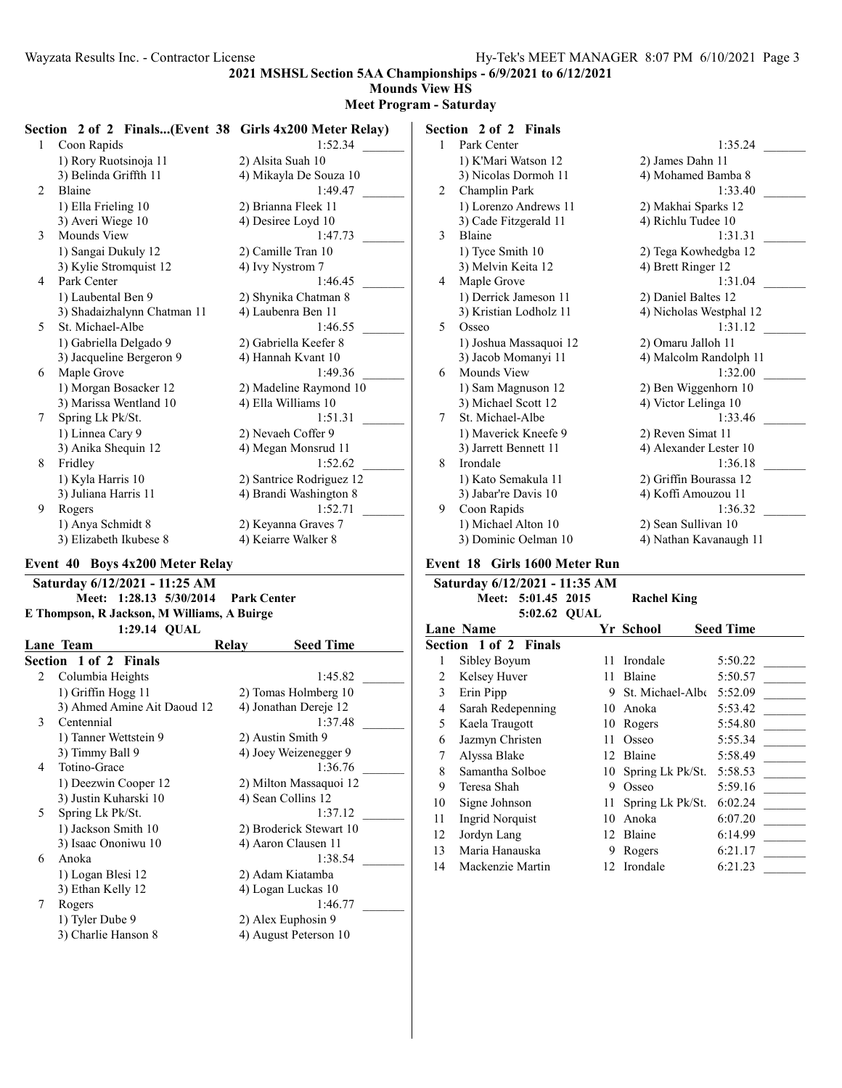**Mounds View HS**

#### **Meet Program - Saturday**

|                | Section 2 of 2 Finals(Event 38 Girls 4x200 Meter Relay) |                          |               | Section 2 of 2 Finals  |                         |
|----------------|---------------------------------------------------------|--------------------------|---------------|------------------------|-------------------------|
|                | Coon Rapids                                             | 1:52.34                  |               | Park Center            | 1:35.24                 |
|                | 1) Rory Ruotsinoja 11                                   | 2) Alsita Suah 10        |               | 1) K'Mari Watson 12    | 2) James Dahn 11        |
|                | 3) Belinda Griffth 11                                   | 4) Mikayla De Souza 10   |               | 3) Nicolas Dormoh 11   | 4) Mohamed Bamba 8      |
| 2              | <b>Blaine</b>                                           | 1:49.47                  |               | Champlin Park          | 1:33.40                 |
|                | 1) Ella Frieling 10                                     | 2) Brianna Fleek 11      |               | 1) Lorenzo Andrews 11  | 2) Makhai Sparks 12     |
|                | 3) Averi Wiege 10                                       | 4) Desiree Loyd 10       |               | 3) Cade Fitzgerald 11  | 4) Richlu Tudee 10      |
| 3              | Mounds View                                             | 1:47.73                  | $\mathcal{E}$ | Blaine                 | 1:31.31                 |
|                | 1) Sangai Dukuly 12                                     | 2) Camille Tran 10       |               | 1) Tyce Smith 10       | 2) Tega Kowhedgba 12    |
|                | 3) Kylie Stromquist 12                                  | 4) Ivy Nystrom 7         |               | 3) Melvin Keita 12     | 4) Brett Ringer 12      |
| $\overline{4}$ | Park Center                                             | 1:46.45                  | 4             | Maple Grove            | 1:31.04                 |
|                | 1) Laubental Ben 9                                      | 2) Shynika Chatman 8     |               | 1) Derrick Jameson 11  | 2) Daniel Baltes 12     |
|                | 3) Shadaizhalynn Chatman 11                             | 4) Laubenra Ben 11       |               | 3) Kristian Lodholz 11 | 4) Nicholas Westphal 12 |
| 5              | St. Michael-Albe                                        | 1:46.55                  | 5             | Osseo                  | 1:31.12                 |
|                | 1) Gabriella Delgado 9                                  | 2) Gabriella Keefer 8    |               | 1) Joshua Massaquoi 12 | 2) Omaru Jalloh 11      |
|                | 3) Jacqueline Bergeron 9                                | 4) Hannah Kvant 10       |               | 3) Jacob Momanyi 11    | 4) Malcolm Randolph 11  |
| 6              | Maple Grove                                             | 1:49.36                  | 6             | Mounds View            | 1:32.00                 |
|                | 1) Morgan Bosacker 12                                   | 2) Madeline Raymond 10   |               | 1) Sam Magnuson 12     | 2) Ben Wiggenhorn 10    |
|                | 3) Marissa Wentland 10                                  | 4) Ella Williams 10      |               | 3) Michael Scott 12    | 4) Victor Lelinga 10    |
|                | Spring Lk Pk/St.                                        | 1:51.31                  |               | St. Michael-Albe       | 1:33.46                 |
|                | 1) Linnea Cary 9                                        | 2) Nevaeh Coffer 9       |               | 1) Maverick Kneefe 9   | 2) Reven Simat 11       |
|                | 3) Anika Shequin 12                                     | 4) Megan Monsrud 11      |               | 3) Jarrett Bennett 11  | 4) Alexander Lester 10  |
| 8              | Fridley                                                 | 1:52.62                  | 8             | Irondale               | 1:36.18                 |
|                | 1) Kyla Harris 10                                       | 2) Santrice Rodriguez 12 |               | 1) Kato Semakula 11    | 2) Griffin Bourassa 12  |
|                | 3) Juliana Harris 11                                    | 4) Brandi Washington 8   |               | 3) Jabar're Davis 10   | 4) Koffi Amouzou 11     |
| 9              | Rogers                                                  | 1:52.71                  | 9             | Coon Rapids            | 1:36.32                 |
|                | 1) Anya Schmidt 8                                       | 2) Keyanna Graves 7      |               | 1) Michael Alton 10    | 2) Sean Sullivan 10     |
|                | 3) Elizabeth Ikubese 8                                  | 4) Keiarre Walker 8      |               | 3) Dominic Oelman 10   | 4) Nathan Kavanaugh 11  |

#### **Event 40 Boys 4x200 Meter Relay**

**Saturday 6/12/2021 - 11:25 AM Meet: 1:28.13 5/30/2014 Park Center E Thompson, R Jackson, M Williams, A Buirge 1:29.14 QUAL**

|               | Lane Team                   | Relay                   | <b>Seed Time</b>      |  |
|---------------|-----------------------------|-------------------------|-----------------------|--|
|               | Section 1 of 2 Finals       |                         |                       |  |
| $\mathcal{L}$ | Columbia Heights            |                         | 1:45.82               |  |
|               | 1) Griffin Hogg 11          |                         | 2) Tomas Holmberg 10  |  |
|               | 3) Ahmed Amine Ait Daoud 12 | 4) Jonathan Dereje 12   |                       |  |
| 3             | Centennial                  |                         | 1:37.48               |  |
|               | 1) Tanner Wettstein 9       | 2) Austin Smith 9       |                       |  |
|               | 3) Timmy Ball 9             |                         | 4) Joey Weizenegger 9 |  |
| 4             | Totino-Grace                |                         | 1:36.76               |  |
|               | 1) Deezwin Cooper 12        | 2) Milton Massaquoi 12  |                       |  |
|               | 3) Justin Kuharski 10       |                         | 4) Sean Collins 12    |  |
| 5             | Spring Lk Pk/St.            | 1:37.12                 |                       |  |
|               | 1) Jackson Smith 10         | 2) Broderick Stewart 10 |                       |  |
|               | 3) Isaac Ononiwu 10         | 4) Aaron Clausen 11     |                       |  |
| 6             | Anoka                       |                         | 1:38.54               |  |
|               | 1) Logan Blesi 12           |                         | 2) Adam Kiatamba      |  |
|               | 3) Ethan Kelly 12           | 4) Logan Luckas 10      |                       |  |
|               | Rogers                      |                         | 1:46.77               |  |
|               | 1) Tyler Dube 9             | 2) Alex Euphosin 9      |                       |  |
|               | 3) Charlie Hanson 8         |                         | 4) August Peterson 10 |  |
|               |                             |                         |                       |  |

**Event 18 Girls 1600 Meter Run**

| Saturday 6/12/2021 - 11:35 AM |                              |     |                               |                  |  |  |  |
|-------------------------------|------------------------------|-----|-------------------------------|------------------|--|--|--|
|                               | Meet: 5:01.45 2015           |     | <b>Rachel King</b>            |                  |  |  |  |
|                               | 5:02.62 QUAL                 |     |                               |                  |  |  |  |
|                               | <b>Lane Name</b>             |     | Yr School                     | <b>Seed Time</b> |  |  |  |
|                               | <b>Section 1 of 2 Finals</b> |     |                               |                  |  |  |  |
| 1                             | Sibley Boyum                 | 11  | Irondale                      | 5:50.22          |  |  |  |
| 2                             | Kelsey Huver                 | 11  | Blaine                        | 5:50.57          |  |  |  |
| 3                             | Erin Pipp                    | 9   | St. Michael-Alb $\xi$ 5:52.09 |                  |  |  |  |
| 4                             | Sarah Redepenning            | 10  | Anoka                         | 5:53.42          |  |  |  |
| 5                             | Kaela Traugott               | 10  | Rogers                        | 5:54.80          |  |  |  |
| 6                             | Jazmyn Christen              | 11  | Osseo                         | 5:55.34          |  |  |  |
| 7                             | Alyssa Blake                 | 12  | Blaine                        | 5:58.49          |  |  |  |
| 8                             | Samantha Solboe              | 10  | Spring Lk Pk/St.              | 5:58.53          |  |  |  |
| 9                             | Teresa Shah                  | 9   | Osseo                         | 5:59.16          |  |  |  |
| 10                            | Signe Johnson                | 11  | Spring Lk Pk/St.              | 6:02.24          |  |  |  |
| 11                            | Ingrid Norquist              | 10  | Anoka                         | 6:07.20          |  |  |  |
| 12                            | Jordyn Lang                  | 12  | Blaine                        | 6:14.99          |  |  |  |
| 13                            | Maria Hanauska               | 9   | Rogers                        | 6:21.17          |  |  |  |
| 14                            | Mackenzie Martin             | 12. | Irondale                      | 6:21.23          |  |  |  |
|                               |                              |     |                               |                  |  |  |  |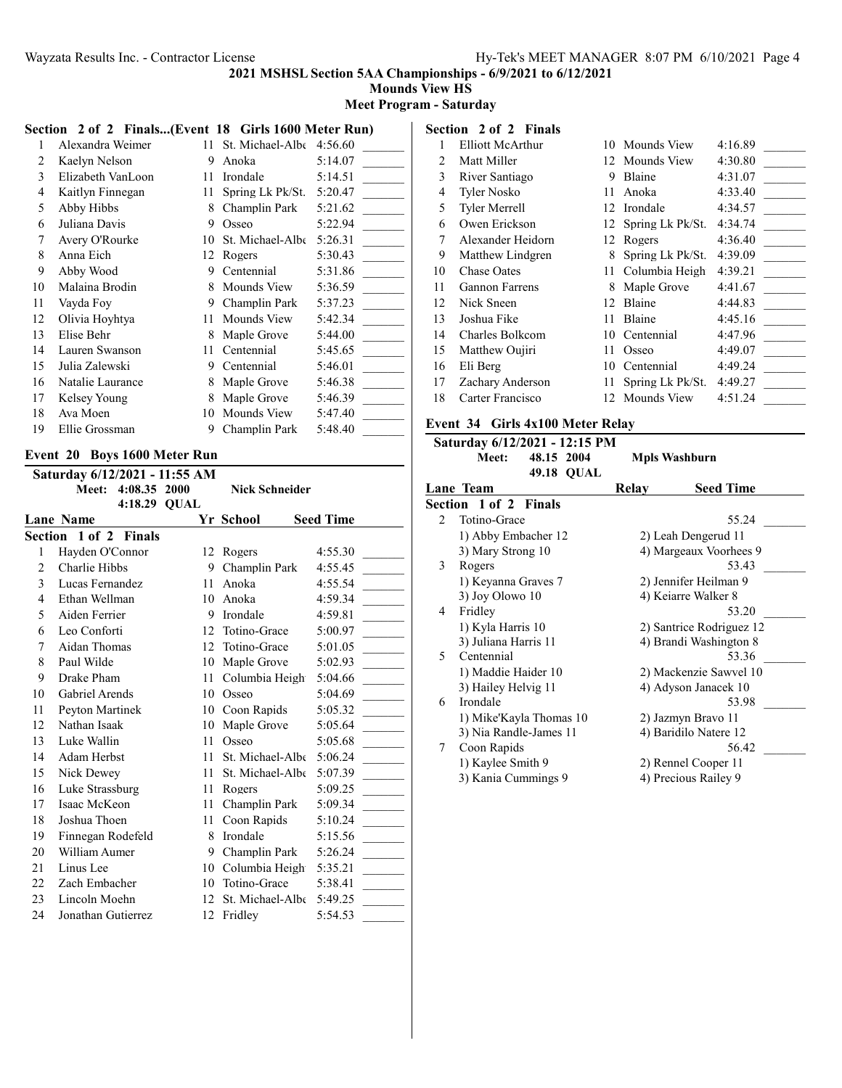**Mounds View HS**

#### **Meet Program - Saturday**

|    | Section 2 of 2 Finals(Event 18 Girls 1600 Meter Run) |    |                  |         |
|----|------------------------------------------------------|----|------------------|---------|
|    | Alexandra Weimer                                     | 11 | St. Michael-Albe | 4:56.60 |
| 2  | Kaelyn Nelson                                        | 9  | Anoka            | 5:14.07 |
| 3  | Elizabeth VanLoon                                    | 11 | Irondale         | 5:14.51 |
| 4  | Kaitlyn Finnegan                                     | 11 | Spring Lk Pk/St. | 5:20.47 |
| 5  | Abby Hibbs                                           | 8  | Champlin Park    | 5:21.62 |
| 6  | Juliana Davis                                        | 9  | Osseo            | 5:22.94 |
| 7  | Avery O'Rourke                                       | 10 | St. Michael-Albe | 5:26.31 |
| 8  | Anna Eich                                            | 12 | Rogers           | 5:30.43 |
| 9  | Abby Wood                                            | 9  | Centennial       | 5:31.86 |
| 10 | Malaina Brodin                                       | 8  | Mounds View      | 5:36.59 |
| 11 | Vayda Foy                                            | 9  | Champlin Park    | 5:37.23 |
| 12 | Olivia Hoyhtya                                       | 11 | Mounds View      | 5:42.34 |
| 13 | Elise Behr                                           | 8  | Maple Grove      | 5:44.00 |
| 14 | Lauren Swanson                                       | 11 | Centennial       | 5:45.65 |
| 15 | Julia Zalewski                                       | 9  | Centennial       | 5:46.01 |
| 16 | Natalie Laurance                                     | 8  | Maple Grove      | 5:46.38 |
| 17 | Kelsey Young                                         | 8  | Maple Grove      | 5:46.39 |
| 18 | Ava Moen                                             | 10 | Mounds View      | 5:47.40 |
| 19 | Ellie Grossman                                       | 9  | Champlin Park    | 5:48.40 |
|    |                                                      |    |                  |         |

## **Event 20 Boys 1600 Meter Run**

|                | Saturday 6/12/2021 - 11:55 AM |              |    |                       |                  |
|----------------|-------------------------------|--------------|----|-----------------------|------------------|
|                | Meet:                         | 4:08.35 2000 |    | <b>Nick Schneider</b> |                  |
|                |                               | 4:18.29 QUAL |    |                       |                  |
|                | <b>Lane Name</b>              |              |    | Yr School             | <b>Seed Time</b> |
|                | Section 1 of 2 Finals         |              |    |                       |                  |
| 1              | Hayden O'Connor               |              |    | 12 Rogers             | 4:55.30          |
| $\overline{c}$ | Charlie Hibbs                 |              | 9  | Champlin Park         | 4:55.45          |
| 3              | Lucas Fernandez               |              | 11 | Anoka                 | 4:55.54          |
| 4              | Ethan Wellman                 |              | 10 | Anoka                 | 4:59.34          |
| 5              | Aiden Ferrier                 |              | 9  | Irondale              | 4:59.81          |
| 6              | Leo Conforti                  |              | 12 | Totino-Grace          | 5:00.97          |
| 7              | Aidan Thomas                  |              | 12 | Totino-Grace          | 5:01.05          |
| 8              | Paul Wilde                    |              | 10 | Maple Grove           | 5:02.93          |
| 9              | Drake Pham                    |              | 11 | Columbia Heigh        | 5:04.66          |
| 10             | Gabriel Arends                |              | 10 | Osseo                 | 5:04.69          |
| 11             | Peyton Martinek               |              |    | 10 Coon Rapids        | 5:05.32          |
| 12             | Nathan Isaak                  |              | 10 | Maple Grove           | 5:05.64          |
| 13             | Luke Wallin                   |              | 11 | Osseo                 | 5:05.68          |
| 14             | Adam Herbst                   |              | 11 | St. Michael-Albe      | 5:06.24          |
| 15             | Nick Dewey                    |              | 11 | St. Michael-Albe      | 5:07.39          |
| 16             | Luke Strassburg               |              | 11 | Rogers                | 5:09.25          |
| 17             | Isaac McKeon                  |              | 11 | Champlin Park         | 5:09.34          |
| 18             | Joshua Thoen                  |              | 11 | Coon Rapids           | 5:10.24          |
| 19             | Finnegan Rodefeld             |              | 8  | Irondale              | 5:15.56          |
| 20             | William Aumer                 |              | 9  | Champlin Park         | 5:26.24          |
| 21             | Linus Lee                     |              | 10 | Columbia Heigh        | 5:35.21          |
| 22             | Zach Embacher                 |              | 10 | Totino-Grace          | 5:38.41          |
| 23             | Lincoln Moehn                 |              | 12 | St. Michael-Albe      | 5:49.25          |
| 24             | Jonathan Gutierrez            |              | 12 | Fridley               | 5:54.53          |

#### **Section 2 of 2 Finals** 1 Elliott McArthur 10 Mounds View 4:16.89 2 Matt Miller 12 Mounds View 4:30.80 3 River Santiago 9 Blaine 4:31.07 4 Tyler Nosko 11 Anoka 4:33.40 5 Tyler Merrell 12 Irondale 4:34.57 6 Owen Erickson 12 Spring Lk Pk/St. 4:34.74 7 Alexander Heidorn 12 Rogers 4:36.40 9 Matthew Lindgren 8 Spring Lk Pk/St. 4:39.09 10 Chase Oates 11 Columbia Heigh 4:39.21 11 Gannon Farrens 8 Maple Grove 4:41.67 12 Nick Sneen 12 Blaine 4:44.83 13 Joshua Fike 11 Blaine 4:45.16

| 14 Charles Bolkcom  | 10 Centennial               | 4:47.96 |  |
|---------------------|-----------------------------|---------|--|
| 15 Matthew Oujiri   | 11 Osseo                    | 4:49.07 |  |
| 16 Eli Berg         | 10 Centennial               | 4:49.24 |  |
| 17 Zachary Anderson | 11 Spring Lk Pk/St. 4:49.27 |         |  |
| 18 Carter Francisco | 12 Mounds View              | 4:51.24 |  |

#### **Event 34 Girls 4x100 Meter Relay**

# **Saturday 6/12/2021 - 12:15 PM**

**Mpls Washburn 49.18 QUAL**

|                | Lane Team               | Relay                | <b>Seed Time</b>         |  |
|----------------|-------------------------|----------------------|--------------------------|--|
|                | Section 1 of 2 Finals   |                      |                          |  |
| $\mathfrak{D}$ | Totino-Grace            |                      | 55.24                    |  |
|                | 1) Abby Embacher 12     |                      | 2) Leah Dengerud 11      |  |
|                | 3) Mary Strong 10       |                      | 4) Margeaux Voorhees 9   |  |
| 3              | Rogers                  |                      | 53.43                    |  |
|                | 1) Keyanna Graves 7     |                      | 2) Jennifer Heilman 9    |  |
|                | 3) Joy Olowo 10         |                      | 4) Keiarre Walker 8      |  |
| 4              | Fridley                 |                      | 53.20                    |  |
|                | 1) Kyla Harris 10       |                      | 2) Santrice Rodriguez 12 |  |
|                | 3) Juliana Harris 11    |                      | 4) Brandi Washington 8   |  |
| 5.             | Centennial              |                      | 53.36                    |  |
|                | 1) Maddie Haider 10     |                      | 2) Mackenzie Sawvel 10   |  |
|                | 3) Hailey Helvig 11     | 4) Adyson Janacek 10 |                          |  |
| 6              | Irondale                |                      | 53.98                    |  |
|                | 1) Mike'Kayla Thomas 10 |                      | 2) Jazmyn Bravo 11       |  |
|                | 3) Nia Randle-James 11  |                      | 4) Baridilo Natere 12    |  |
| 7              | Coon Rapids             |                      | 56.42                    |  |
|                | 1) Kaylee Smith 9       |                      | 2) Rennel Cooper 11      |  |
|                | 3) Kania Cummings 9     |                      | 4) Precious Railey 9     |  |
|                |                         |                      |                          |  |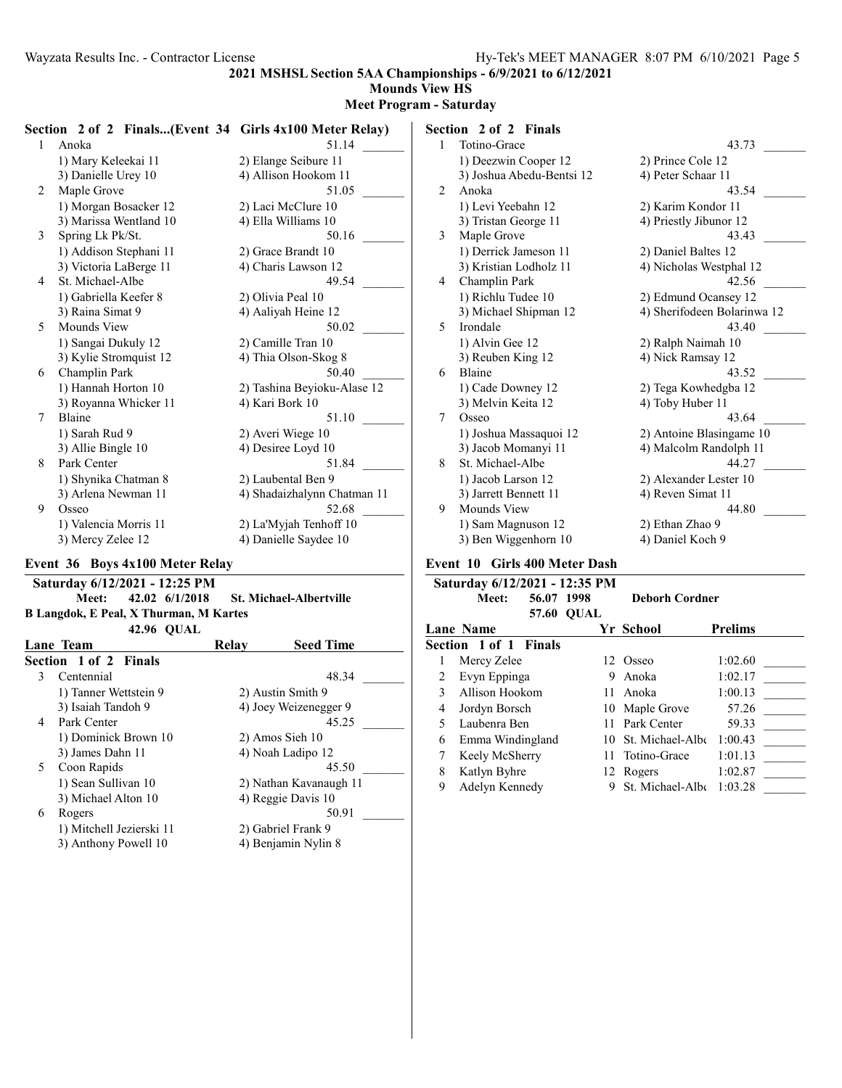**Mounds View HS**

#### **Meet Program - Saturday**

|   | Section 2 of 2 Finals(Event 34 Girls 4x100 Meter Relay) |                             |   | Section 2 of 2 Finals     |                             |
|---|---------------------------------------------------------|-----------------------------|---|---------------------------|-----------------------------|
|   | Anoka                                                   | 51.14                       |   | Totino-Grace              | 43.73                       |
|   | 1) Mary Keleekai 11                                     | 2) Elange Seibure 11        |   | 1) Deezwin Cooper 12      | 2) Prince Cole 12           |
|   | 3) Danielle Urey 10                                     | 4) Allison Hookom 11        |   | 3) Joshua Abedu-Bentsi 12 | 4) Peter Schaar 11          |
| 2 | Maple Grove                                             | 51.05                       | 2 | Anoka                     | 43.54                       |
|   | 1) Morgan Bosacker 12                                   | 2) Laci McClure 10          |   | 1) Levi Yeebahn 12        | 2) Karim Kondor 11          |
|   | 3) Marissa Wentland 10                                  | 4) Ella Williams 10         |   | 3) Tristan George 11      | 4) Priestly Jibunor 12      |
| 3 | Spring Lk Pk/St.                                        | 50.16                       | 3 | Maple Grove               | 43.43                       |
|   | 1) Addison Stephani 11                                  | 2) Grace Brandt 10          |   | 1) Derrick Jameson 11     | 2) Daniel Baltes 12         |
|   | 3) Victoria LaBerge 11                                  | 4) Charis Lawson 12         |   | 3) Kristian Lodholz 11    | 4) Nicholas Westphal 12     |
| 4 | St. Michael-Albe                                        | 49.54                       | 4 | Champlin Park             | 42.56                       |
|   | 1) Gabriella Keefer 8                                   | 2) Olivia Peal 10           |   | 1) Richlu Tudee 10        | 2) Edmund Ocansey 12        |
|   | 3) Raina Simat 9                                        | 4) Aaliyah Heine 12         |   | 3) Michael Shipman 12     | 4) Sherifodeen Bolarinwa 12 |
| 5 | Mounds View                                             | 50.02                       |   | Irondale                  | 43.40                       |
|   | 1) Sangai Dukuly 12                                     | 2) Camille Tran 10          |   | 1) Alvin Gee 12           | 2) Ralph Naimah 10          |
|   | 3) Kylie Stromquist 12                                  | 4) Thia Olson-Skog 8        |   | 3) Reuben King 12         | 4) Nick Ramsay 12           |
| 6 | Champlin Park                                           | 50.40                       | 6 | Blaine                    | 43.52                       |
|   | 1) Hannah Horton 10                                     | 2) Tashina Beyioku-Alase 12 |   | 1) Cade Downey 12         | 2) Tega Kowhedgba 12        |
|   | 3) Royanna Whicker 11                                   | 4) Kari Bork 10             |   | 3) Melvin Keita 12        | 4) Toby Huber 11            |
| 7 | Blaine                                                  | 51.10                       | 7 | Osseo                     | 43.64                       |
|   | 1) Sarah Rud 9                                          | 2) Averi Wiege 10           |   | 1) Joshua Massaquoi 12    | 2) Antoine Blasingame 10    |
|   | 3) Allie Bingle 10                                      | 4) Desiree Loyd 10          |   | 3) Jacob Momanyi 11       | 4) Malcolm Randolph 11      |
| 8 | Park Center                                             | 51.84                       | 8 | St. Michael-Albe          | 44.27                       |
|   | 1) Shynika Chatman 8                                    | 2) Laubental Ben 9          |   | 1) Jacob Larson 12        | 2) Alexander Lester 10      |
|   | 3) Arlena Newman 11                                     | 4) Shadaizhalynn Chatman 11 |   | 3) Jarrett Bennett 11     | 4) Reven Simat 11           |
| 9 | Osseo                                                   | 52.68                       | 9 | Mounds View               | 44.80                       |
|   | 1) Valencia Morris 11                                   | 2) La'Myjah Tenhoff 10      |   | 1) Sam Magnuson 12        | 2) Ethan Zhao 9             |
|   | 3) Mercy Zelee 12                                       | 4) Danielle Saydee 10       |   | 3) Ben Wiggenhorn 10      | 4) Daniel Koch 9            |

#### **Event 36 Boys 4x100 Meter Relay**

|    | Saturday 6/12/2021 - 12:25 PM<br>42.02 6/1/2018<br>Meet:<br><b>St. Michael-Albertville</b><br><b>B Langdok, E Peal, X Thurman, M Kartes</b> |       |                                         |  |  |  |
|----|---------------------------------------------------------------------------------------------------------------------------------------------|-------|-----------------------------------------|--|--|--|
|    | <b>42.96 OUAL</b>                                                                                                                           |       |                                         |  |  |  |
|    | Lane Team                                                                                                                                   | Relay | <b>Seed Time</b>                        |  |  |  |
|    | Section 1 of 2 Finals                                                                                                                       |       |                                         |  |  |  |
| 3  | Centennial                                                                                                                                  |       | 48.34                                   |  |  |  |
|    | 1) Tanner Wettstein 9                                                                                                                       |       | 2) Austin Smith 9                       |  |  |  |
|    | 3) Isaiah Tandoh 9                                                                                                                          |       | 4) Joey Weizenegger 9                   |  |  |  |
| 4  | Park Center                                                                                                                                 |       | 45.25                                   |  |  |  |
|    | 1) Dominick Brown 10                                                                                                                        |       | 2) Amos Sieh 10                         |  |  |  |
|    | 3) James Dahn 11                                                                                                                            |       | 4) Noah Ladipo 12                       |  |  |  |
| 5. | Coon Rapids                                                                                                                                 |       | 45.50                                   |  |  |  |
|    | 1) Sean Sullivan 10                                                                                                                         |       | 2) Nathan Kavanaugh 11                  |  |  |  |
|    | 3) Michael Alton 10                                                                                                                         |       | 4) Reggie Davis 10                      |  |  |  |
| 6  | Rogers                                                                                                                                      |       | 50.91                                   |  |  |  |
|    |                                                                                                                                             |       | $2\sqrt{C_1L_1L_2}$ $1\sqrt{C_2L_2L_1}$ |  |  |  |

- 1) Mitchell Jezierski 11 2) Gabriel Frank 9
- 3) Anthony Powell 10 4) Benjamin Nylin 8

**Event 10 Girls 400 Meter Dash**

| Saturday 6/12/2021 - 12:35 PM |                       |            |                       |                |  |
|-------------------------------|-----------------------|------------|-----------------------|----------------|--|
|                               | 56.07 1998<br>Meet:   |            | <b>Deborh Cordner</b> |                |  |
|                               |                       | 57.60 OUAL |                       |                |  |
|                               | Lane Name             |            | Yr School             | <b>Prelims</b> |  |
|                               | Section 1 of 1 Finals |            |                       |                |  |
|                               | Mercy Zelee           |            | 12 Osseo              | 1:02.60        |  |
|                               | Evyn Eppinga          | 9          | Anoka                 | 1:02.17        |  |
| 3                             | Allison Hookom        | 11         | Anoka                 | 1:00.13        |  |
| 4                             | Jordyn Borsch         | 10         | Maple Grove           | 57.26          |  |
| 5                             | Laubenra Ben          |            | 11 Park Center        | 59.33          |  |
| 6                             | Emma Windingland      | 10.        | St. Michael-Albe      | 1:00.43        |  |
| 7                             | Keely McSherry        | 11         | Totino-Grace          | 1:01.13        |  |
| 8                             | Katlyn Byhre          |            | 12 Rogers             | 1:02.87        |  |
| 9                             | Adelyn Kennedy        |            | St. Michael-Albe      | 1:03.28        |  |
|                               |                       |            |                       |                |  |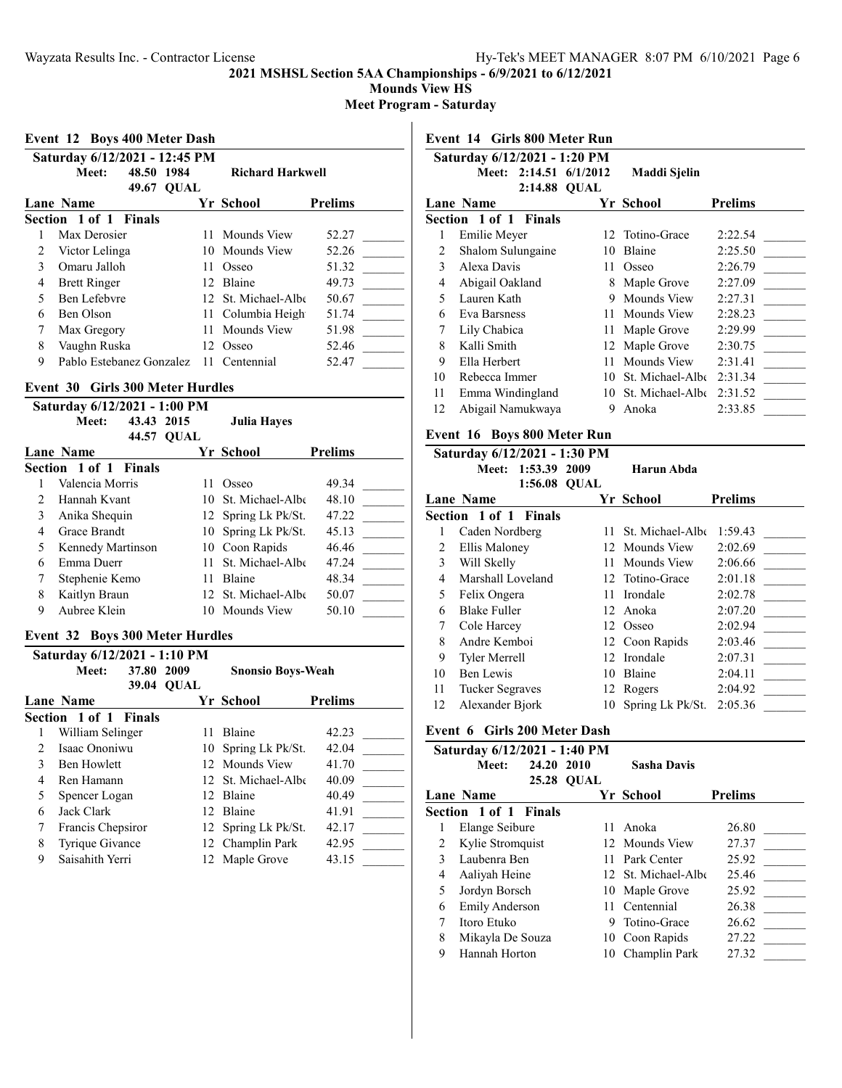**Mounds View HS**

**Meet Program - Saturday**

|  |  | Event 12 Boys 400 Meter Dash |  |
|--|--|------------------------------|--|
|  |  |                              |  |

|   | Saturday 6/12/2021 - 12:45 PM |                     |             |                         |                |
|---|-------------------------------|---------------------|-------------|-------------------------|----------------|
|   | Meet:                         | 48.50 1984<br>49.67 | <b>OUAL</b> | <b>Richard Harkwell</b> |                |
|   | Lane Name                     |                     |             | Yr School               | <b>Prelims</b> |
|   | Section 1 of 1 Finals         |                     |             |                         |                |
|   | Max Derosier                  |                     |             | 11 Mounds View          | 52.27          |
| 2 | Victor Lelinga                |                     |             | 10 Mounds View          | 52.26          |
| 3 | Omaru Jalloh                  |                     | 11          | Osseo                   | 51.32          |
| 4 | <b>Brett Ringer</b>           |                     |             | 12 Blaine               | 49.73          |
| 5 | Ben Lefebvre                  |                     |             | 12 St. Michael-Albe     | 50.67          |
| 6 | Ben Olson                     |                     |             | 11 Columbia Heigh       | 51.74          |
|   | Max Gregory                   |                     | 11          | Mounds View             | 51.98          |
| 8 | Vaughn Ruska                  |                     |             | 12 Osseo                | 52.46          |
| 9 | Pablo Estebanez Gonzalez      |                     |             | 11 Centennial           | 52.47          |
|   |                               |                     |             |                         |                |

## **Event 30 Girls 300 Meter Hurdles**

|   | Saturday 6/12/2021 - 1:00 PM |                   |                     |                |
|---|------------------------------|-------------------|---------------------|----------------|
|   | 43.43 2015<br>Meet:          |                   | Julia Hayes         |                |
|   |                              | <b>44.57 OUAL</b> |                     |                |
|   | <b>Lane Name</b>             |                   | Yr School           | <b>Prelims</b> |
|   | <b>Section 1 of 1 Finals</b> |                   |                     |                |
|   | Valencia Morris              | 11                | Osseo               | 49.34          |
|   | Hannah Kvant                 |                   | 10 St. Michael-Albe | 48.10          |
| 3 | Anika Shequin                |                   | 12 Spring Lk Pk/St. | 47.22          |
| 4 | Grace Brandt                 |                   | 10 Spring Lk Pk/St. | 45.13          |
| 5 | Kennedy Martinson            |                   | 10 Coon Rapids      | 46.46          |
| 6 | Emma Duerr                   |                   | 11 St. Michael-Albe | 47.24          |
| 7 | Stephenie Kemo               | 11.               | <b>Blaine</b>       | 48.34          |
| 8 | Kaitlyn Braun                |                   | 12 St. Michael-Albe | 50.07          |
| 9 | Aubree Klein                 |                   | 10 Mounds View      | 50.10          |
|   |                              |                   |                     |                |

## **Event 32 Boys 300 Meter Hurdles**

| Saturday 6/12/2021 - 1:10 PM |                              |            |                          |                |  |
|------------------------------|------------------------------|------------|--------------------------|----------------|--|
|                              | 37.80 2009<br>Meet:          |            | <b>Snonsio Boys-Weah</b> |                |  |
|                              |                              | 39.04 OUAL |                          |                |  |
|                              | <b>Lane Name</b>             |            | Yr School                | <b>Prelims</b> |  |
|                              | <b>Section 1 of 1 Finals</b> |            |                          |                |  |
|                              | William Selinger             | 11.        | <b>Blaine</b>            | 42.23          |  |
|                              | Isaac Ononiwu                | 10         | Spring Lk Pk/St.         | 42.04          |  |
| 3                            | <b>Ben Howlett</b>           |            | 12 Mounds View           | 41.70          |  |
| 4                            | Ren Hamann                   |            | 12 St. Michael-Albe      | 40.09          |  |
| 5                            | Spencer Logan                |            | 12 Blaine                | 40.49          |  |
| 6                            | Jack Clark                   |            | 12 Blaine                | 41.91          |  |
| 7                            | Francis Chepsiror            |            | 12 Spring Lk Pk/St.      | 42.17          |  |
| 8                            | Tyrique Givance              |            | 12 Champlin Park         | 42.95          |  |
| 9                            | Saisahith Yerri              |            | 12 Maple Grove           | 43.15          |  |

**Event 14 Girls 800 Meter Run**

|    | Saturday 6/12/2021 - 1:20 PM |     |                  |                |  |  |  |
|----|------------------------------|-----|------------------|----------------|--|--|--|
|    | Meet: 2:14.51 6/1/2012       |     | Maddi Sjelin     |                |  |  |  |
|    | 2:14.88 OUAL                 |     |                  |                |  |  |  |
|    | <b>Lane Name</b>             |     | Yr School        | <b>Prelims</b> |  |  |  |
|    | <b>Section 1 of 1 Finals</b> |     |                  |                |  |  |  |
| 1  | Emilie Meyer                 |     | 12 Totino-Grace  | 2:22.54        |  |  |  |
|    | Shalom Sulungaine            | 10  | Blaine           | 2:25.50        |  |  |  |
| 3  | Alexa Davis                  | 11  | Osseo            | 2:26.79        |  |  |  |
| 4  | Abigail Oakland              | 8   | Maple Grove      | 2:27.09        |  |  |  |
| 5  | Lauren Kath                  | 9   | Mounds View      | 2:27.31        |  |  |  |
| 6  | <b>Eva Barsness</b>          | 11  | Mounds View      | 2:28.23        |  |  |  |
| 7  | Lily Chabica                 | 11  | Maple Grove      | 2:29.99        |  |  |  |
| 8  | Kalli Smith                  |     | 12 Maple Grove   | 2:30.75        |  |  |  |
| 9  | Ella Herbert                 | 11  | Mounds View      | 2:31.41        |  |  |  |
| 10 | Rebecca Immer                | 10  | St. Michael-Albe | 2:31.34        |  |  |  |
| 11 | Emma Windingland             | 10. | St. Michael-Albe | 2:31.52        |  |  |  |
| 12 | Abigail Namukwaya            | 9   | Anoka            | 2:33.85        |  |  |  |
|    |                              |     |                  |                |  |  |  |

## **Event 16 Boys 800 Meter Run**

#### **Saturday 6/12/2021 - 1:30 PM Meet: 1:53.39 2009 Harun Abda**

|    | 1:56.08 QUAL                 |    |                     |                |
|----|------------------------------|----|---------------------|----------------|
|    | Lane Name                    |    | Yr School           | <b>Prelims</b> |
|    | <b>Section 1 of 1 Finals</b> |    |                     |                |
|    | Caden Nordberg               | 11 | St. Michael-Albe    | 1:59.43        |
| 2  | Ellis Maloney                |    | 12 Mounds View      | 2:02.69        |
| 3  | Will Skelly                  |    | 11 Mounds View      | 2:06.66        |
| 4  | Marshall Loveland            |    | 12 Totino-Grace     | 2:01.18        |
| 5  | Felix Ongera                 | 11 | Irondale            | 2:02.78        |
| 6  | <b>Blake Fuller</b>          |    | 12 Anoka            | 2:07.20        |
| 7  | Cole Harcey                  |    | 12 Osseo            | 2:02.94        |
| 8  | Andre Kemboi                 |    | 12 Coon Rapids      | 2:03.46        |
| 9  | <b>Tyler Merrell</b>         |    | 12 Irondale         | 2:07.31        |
| 10 | Ben Lewis                    | 10 | Blaine              | 2:04.11        |
| 11 | <b>Tucker Segraves</b>       |    | 12 Rogers           | 2:04.92        |
| 12 | Alexander Bjork              |    | 10 Spring Lk Pk/St. | 2:05.36        |

## **Event 6 Girls 200 Meter Dash**

| Saturday 6/12/2021 - 1:40 PM |                       |                   |                     |                |  |  |
|------------------------------|-----------------------|-------------------|---------------------|----------------|--|--|
|                              | 24.20<br>Meet:        | 2010              | <b>Sasha Davis</b>  |                |  |  |
|                              |                       | <b>25.28 QUAL</b> |                     |                |  |  |
|                              | Lane Name             |                   | Yr School           | <b>Prelims</b> |  |  |
|                              | Section 1 of 1 Finals |                   |                     |                |  |  |
|                              | Elange Seibure        | 11                | Anoka               | 26.80          |  |  |
|                              | Kylie Stromquist      |                   | 12 Mounds View      | 27.37          |  |  |
| 3                            | Laubenra Ben          |                   | 11 Park Center      | 25.92          |  |  |
| 4                            | Aaliyah Heine         |                   | 12 St. Michael-Albe | 25.46          |  |  |
| 5                            | Jordyn Borsch         |                   | 10 Maple Grove      | 25.92          |  |  |
| 6                            | Emily Anderson        |                   | 11 Centennial       | 26.38          |  |  |
| 7                            | Itoro Etuko           | 9                 | Totino-Grace        | 26.62          |  |  |
| 8                            | Mikayla De Souza      |                   | 10 Coon Rapids      | 27.22          |  |  |
| 9                            | Hannah Horton         |                   | 10 Champlin Park    | 27.32          |  |  |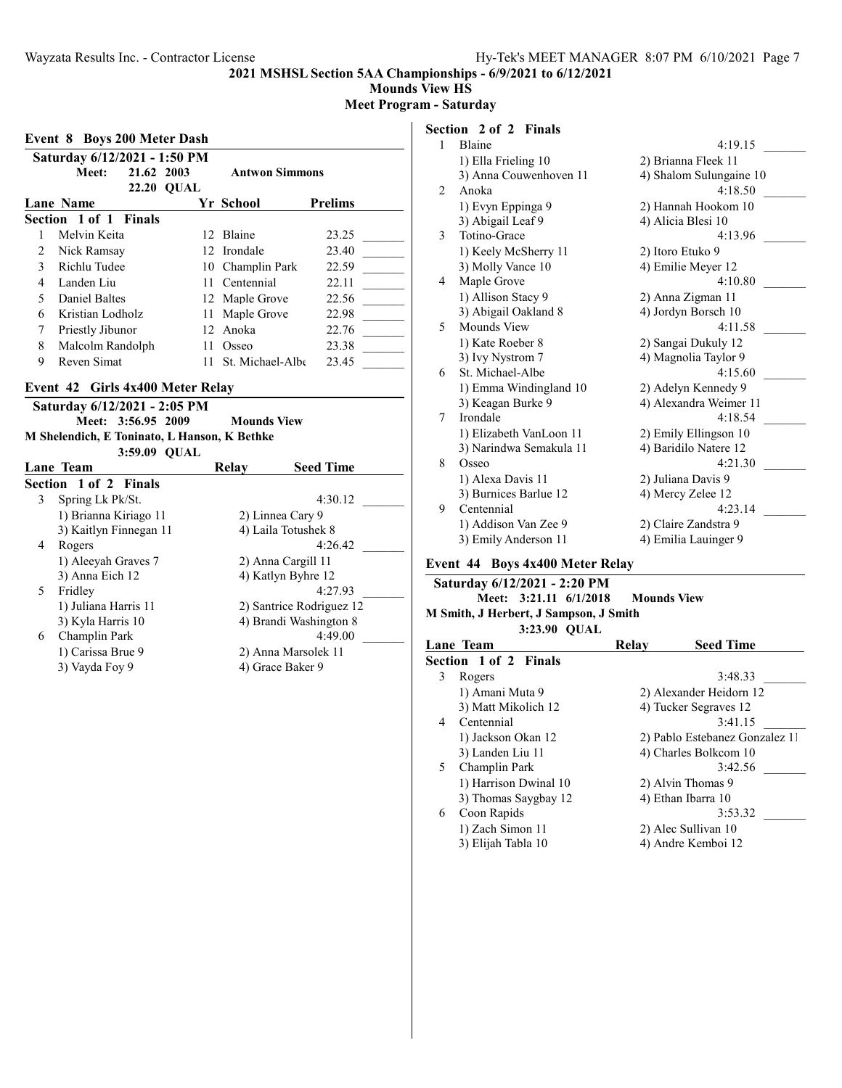**Mounds View HS**

**Meet Program - Saturday**

| <b>Event 8 Boys 200 Meter Dash</b> |                              |                   |                       |                |  |  |
|------------------------------------|------------------------------|-------------------|-----------------------|----------------|--|--|
|                                    | Saturday 6/12/2021 - 1:50 PM |                   |                       |                |  |  |
| 21.62 2003<br>Meet:                |                              |                   | <b>Antwon Simmons</b> |                |  |  |
|                                    |                              | <b>22.20 QUAL</b> |                       |                |  |  |
|                                    | Lane Name                    |                   | Yr School             | <b>Prelims</b> |  |  |
|                                    | Section 1 of 1 Finals        |                   |                       |                |  |  |
|                                    | Melvin Keita                 |                   | 12 Blaine             | 23.25          |  |  |
| 2                                  | Nick Ramsay                  |                   | 12. Irondale          | 23.40          |  |  |
| $\mathcal{L}$                      | Richlu Tudee                 |                   | 10 Champlin Park      | 22.59          |  |  |
| 4                                  | Landen Liu                   | 11                | Centennial            | 22.11          |  |  |
| 5                                  | Daniel Baltes                |                   | 12 Maple Grove        | 22.56          |  |  |
| 6                                  | Kristian Lodholz             | 11                | Maple Grove           | 22.98          |  |  |
| 7                                  | Priestly Jibunor             |                   | 12 Anoka              | 22.76          |  |  |
| 8                                  | Malcolm Randolph             |                   | Osseo                 | 23.38          |  |  |
| 9                                  | Reven Simat                  |                   | St. Michael-Albe      | 23.45          |  |  |
|                                    |                              |                   |                       |                |  |  |

#### **Event 42 Girls 4x400 Meter Relay**

|  | Saturday 6/12/2021 - 2:05 PM     |                                              |
|--|----------------------------------|----------------------------------------------|
|  | Meet: 3:56.95 2009               | <b>Mounds View</b>                           |
|  |                                  | M Shelendich, E Toninato, L Hanson, K Bethke |
|  | $3.5900$ $\Omega$ <sub>LAL</sub> |                                              |

|    | $3.37.07$ $U$ $V$ $A$ $L$ |       |                          |
|----|---------------------------|-------|--------------------------|
|    | Lane Team                 | Relav | <b>Seed Time</b>         |
|    | Section 1 of 2 Finals     |       |                          |
| 3  | Spring Lk Pk/St.          |       | 4:30.12                  |
|    | 1) Brianna Kiriago 11     |       | 2) Linnea Cary 9         |
|    | 3) Kaitlyn Finnegan 11    |       | 4) Laila Totushek 8      |
| 4  | Rogers                    |       | 4:26.42                  |
|    | 1) Aleeyah Graves 7       |       | 2) Anna Cargill 11       |
|    | 3) Anna Eich 12           |       | 4) Katlyn Byhre 12       |
| 5. | Fridley                   |       | 4:27.93                  |
|    | 1) Juliana Harris 11      |       | 2) Santrice Rodriguez 12 |
|    | 3) Kyla Harris 10         |       | 4) Brandi Washington 8   |
| 6  | Champlin Park             |       | 4:49.00                  |
|    | 1) Carissa Brue 9         |       | 2) Anna Marsolek 11      |
|    | 3) Vayda Foy 9            |       | 4) Grace Baker 9         |
|    |                           |       |                          |

## **Section 2 of 2 Finals**

| 1 | Blaine                  | 4:19.15                 |
|---|-------------------------|-------------------------|
|   | 1) Ella Frieling 10     | 2) Brianna Fleek 11     |
|   | 3) Anna Couwenhoven 11  | 4) Shalom Sulungaine 10 |
| 2 | Anoka                   | 4:18.50                 |
|   | 1) Evyn Eppinga 9       | 2) Hannah Hookom 10     |
|   | 3) Abigail Leaf 9       | 4) Alicia Blesi 10      |
| 3 | Totino-Grace            | 4:13.96                 |
|   | 1) Keely McSherry 11    | 2) Itoro Etuko 9        |
|   | 3) Molly Vance 10       | 4) Emilie Meyer 12      |
| 4 | Maple Grove             | 4:10.80                 |
|   | 1) Allison Stacy 9      | 2) Anna Zigman 11       |
|   | 3) Abigail Oakland 8    | 4) Jordyn Borsch 10     |
| 5 | Mounds View             | 4:11.58                 |
|   | 1) Kate Roeber 8        | 2) Sangai Dukuly 12     |
|   | 3) Ivy Nystrom 7        | 4) Magnolia Taylor 9    |
| 6 | St. Michael-Albe        | 4:15.60                 |
|   | 1) Emma Windingland 10  | 2) Adelyn Kennedy 9     |
|   | 3) Keagan Burke 9       | 4) Alexandra Weimer 11  |
| 7 | Irondale                | 4:18.54                 |
|   | 1) Elizabeth VanLoon 11 | 2) Emily Ellingson 10   |
|   | 3) Narindwa Semakula 11 | 4) Baridilo Natere 12   |
| 8 | Osseo                   | 4:21.30                 |
|   | 1) Alexa Davis 11       | 2) Juliana Davis 9      |
|   | 3) Burnices Barlue 12   | 4) Mercy Zelee 12       |
| 9 | Centennial              | 4:23.14                 |
|   | 1) Addison Van Zee 9    | 2) Claire Zandstra 9    |
|   | 3) Emily Anderson 11    | 4) Emilia Lauinger 9    |

## **Event 44 Boys 4x400 Meter Relay**

|  |              | Saturday 6/12/2021 - 2:20 PM           |                                    |
|--|--------------|----------------------------------------|------------------------------------|
|  |              |                                        | Meet: 3:21.11 6/1/2018 Mounds View |
|  |              | M Smith, J Herbert, J Sampson, J Smith |                                    |
|  | 3:23.90 QUAL |                                        |                                    |

| Lane Team                    | <b>Seed Time</b><br>Relay      |
|------------------------------|--------------------------------|
| <b>Section 1 of 2 Finals</b> |                                |
| 3<br>Rogers                  | 3:48.33                        |
| 1) Amani Muta 9              | 2) Alexander Heidorn 12        |
| 3) Matt Mikolich 12          | 4) Tucker Segraves 12          |
| Centennial<br>4              | 3:41.15                        |
| 1) Jackson Okan 12           | 2) Pablo Estebanez Gonzalez 11 |
| 3) Landen Liu 11             | 4) Charles Bolkcom 10          |
| Champlin Park<br>5.          | 3:42.56                        |
| 1) Harrison Dwinal 10        | 2) Alvin Thomas 9              |
| 3) Thomas Saygbay 12         | 4) Ethan Ibarra 10             |
| Coon Rapids<br>6             | 3:53.32                        |
| 1) Zach Simon 11             | 2) Alec Sullivan 10            |
| 3) Elijah Tabla 10           | 4) Andre Kemboi 12             |
|                              |                                |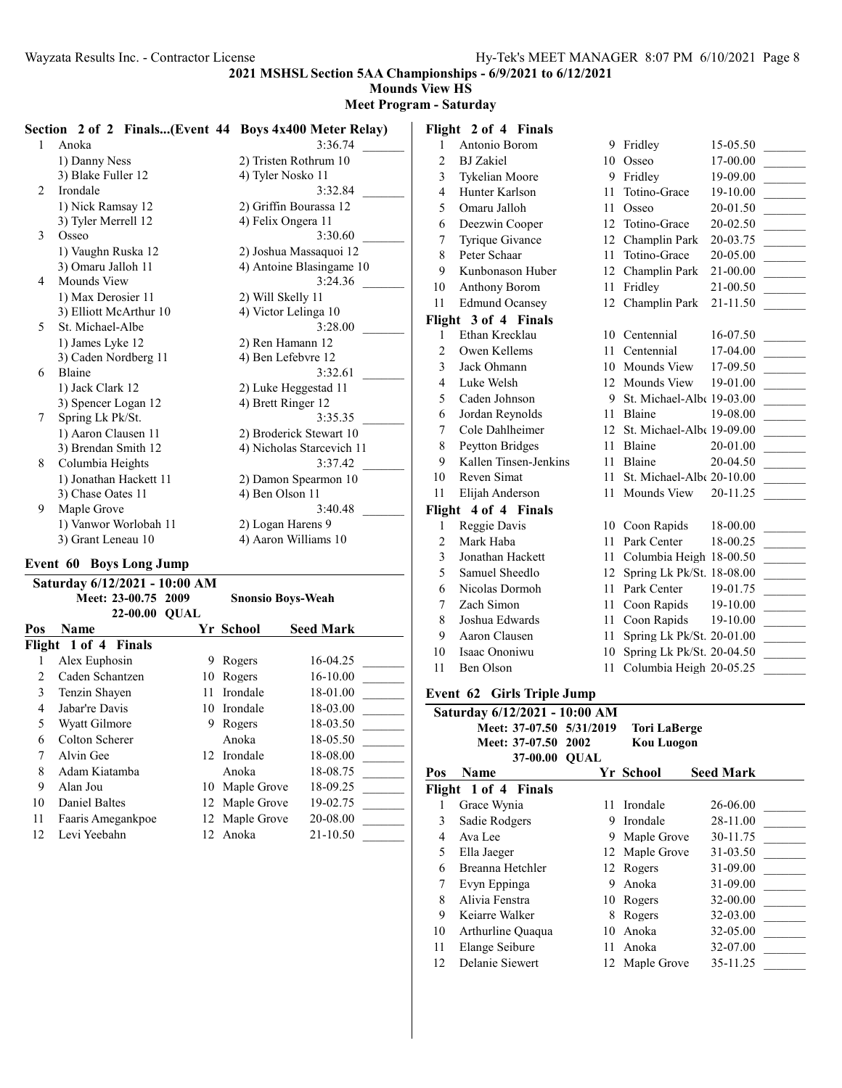**Mounds View HS**

**Meet Program - Saturday**

|    | Section 2 of 2 Finals(Event 44 Boys 4x400 Meter Relay) |                               |    | Flight 2 of 4 Finals  |    |                                     |            |
|----|--------------------------------------------------------|-------------------------------|----|-----------------------|----|-------------------------------------|------------|
|    | Anoka                                                  | 3:36.74                       |    | Antonio Borom         |    | 9 Fridley                           | $15-05.50$ |
|    | 1) Danny Ness                                          | 2) Tristen Rothrum 10         | 2  | <b>BJ</b> Zakiel      |    | 10 Osseo                            | 17-00.00   |
|    | 3) Blake Fuller 12                                     | 4) Tyler Nosko 11             |    | <b>Tykelian Moore</b> |    | 9 Fridley                           | 19-09.00   |
| 2  | Irondale                                               | 3:32.84                       |    | Hunter Karlson        |    | 11 Totino-Grace                     | 19-10.00   |
|    | 1) Nick Ramsay 12                                      | 2) Griffin Bourassa 12        |    | Omaru Jalloh          |    | 11 Osseo                            | 20-01.50   |
|    | 3) Tyler Merrell 12                                    | 4) Felix Ongera 11            | 6  | Deezwin Cooper        |    | Totino-Grace                        | 20-02.50   |
| 3  | Osseo                                                  | 3:30.60                       |    | Tyrique Givance       | 12 | Champlin Park                       | 20-03.75   |
|    | 1) Vaughn Ruska 12                                     | 2) Joshua Massaquoi 12        |    | Peter Schaar          |    | Totino-Grace                        | 20-05.00   |
|    | 3) Omaru Jalloh 11                                     | 4) Antoine Blasingame 10      |    | Kunbonason Huber      |    | Champlin Park                       | 21-00.00   |
| 4  | <b>Mounds View</b>                                     | 3:24.36                       | 10 | Anthony Borom         | 11 | Fridley                             | 21-00.50   |
|    | 1) Max Derosier 11                                     | 2) Will Skelly 11             | 11 | <b>Edmund Ocansey</b> |    | 12 Champlin Park                    | 21-11.50   |
|    | 3) Elliott McArthur 10                                 | 4) Victor Lelinga 10          |    | Flight 3 of 4 Finals  |    |                                     |            |
| 5. | St. Michael-Albe                                       | 3:28.00                       |    | Ethan Krecklau        |    | 10 Centennial                       | 16-07.50   |
|    | 1) James Lyke 12                                       | 2) Ren Hamann 12              |    | Owen Kellems          |    | 11 Centennial                       | 17-04.00   |
|    | 3) Caden Nordberg 11                                   | 4) Ben Lefebvre 12            |    | Jack Ohmann           |    | 10 Mounds View                      | 17-09.50   |
| 6  | Blaine                                                 | 3:32.61                       | 4  | Luke Welsh            |    | Mounds View                         | 19-01.00   |
|    | 1) Jack Clark 12                                       | 2) Luke Heggestad 11          |    | Caden Johnson         | 9  | St. Michael-Albe $19-03.00$         |            |
|    | 3) Spencer Logan 12                                    | 4) Brett Ringer 12<br>3:35.35 | 6  | Jordan Reynolds       | 11 | Blaine                              | 19-08.00   |
|    | Spring Lk Pk/St.<br>1) Aaron Clausen 11                | 2) Broderick Stewart 10       |    | Cole Dahlheimer       | 12 | St. Michael-Alb $(19-09.00)$        |            |
|    | 3) Brendan Smith 12                                    | 4) Nicholas Starcevich 11     |    | Peytton Bridges       | 11 | Blaine                              | 20-01.00   |
|    | Columbia Heights                                       | 3:37.42                       |    | Kallen Tinsen-Jenkins |    | 11 Blaine                           | 20-04.50   |
|    | 1) Jonathan Hackett 11                                 | 2) Damon Spearmon 10          | 10 | Reven Simat           | 11 | St. Michael-Alb $\epsilon$ 20-10.00 |            |
|    | 3) Chase Oates 11                                      | 4) Ben Olson 11               | 11 | Elijah Anderson       | 11 | Mounds View                         | 20-11.25   |
| 9  | Maple Grove                                            | 3:40.48                       |    | Flight 4 of 4 Finals  |    |                                     |            |
|    | 1) Vanwor Worlobah 11                                  | 2) Logan Harens 9             |    | Reggie Davis          |    | 10 Coon Rapids                      | 18-00.00   |
|    | 3) Grant Leneau 10                                     | 4) Aaron Williams 10          |    | Mark Haba             | 11 | Park Center                         | 18-00.25   |

#### **Event 60 Boys Long Jump**

|     | Saturday 6/12/2021 - 10:00 AM |             |                          |                  |
|-----|-------------------------------|-------------|--------------------------|------------------|
|     | Meet: 23-00.75 2009           |             | <b>Snonsio Boys-Weah</b> |                  |
|     | <b>22-00.00</b>               | <b>OUAL</b> |                          |                  |
| Pos | <b>Name</b>                   |             | Yr School                | <b>Seed Mark</b> |
|     | Flight 1 of 4 Finals          |             |                          |                  |
|     | Alex Euphosin                 | 9           | Rogers                   | 16-04.25         |
| 2   | Caden Schantzen               | 10          | Rogers                   | 16-10.00         |
| 3   | Tenzin Shayen                 | 11          | Irondale                 | 18-01.00         |
| 4   | Jabar're Davis                |             | 10 Irondale              | 18-03.00         |
| 5   | Wyatt Gilmore                 | 9.          | Rogers                   | 18-03.50         |
| 6   | Colton Scherer                |             | Anoka                    | 18-05.50         |
| 7   | Alvin Gee                     | 12.         | Irondale                 | 18-08.00         |
| 8   | Adam Kiatamba                 |             | Anoka                    | 18-08.75         |
| 9   | Alan Jou                      | 10          | Maple Grove              | 18-09.25         |
| 10  | Daniel Baltes                 |             | 12 Maple Grove           | 19-02.75         |
| 11  | Faaris Amegankpoe             | 12          | Maple Grove              | 20-08.00         |
| 12  | Levi Yeebahn                  | 12.         | Anoka                    | 21-10.50         |

| 8              | Peter Schaar          | 11 | Totino-Grace                 | 20-05.00 |
|----------------|-----------------------|----|------------------------------|----------|
| 9              | Kunbonason Huber      | 12 | Champlin Park                | 21-00.00 |
| 10             | Anthony Borom         | 11 | Fridley                      | 21-00.50 |
| 11             | <b>Edmund Ocansey</b> |    | 12 Champlin Park             | 21-11.50 |
|                | Flight 3 of 4 Finals  |    |                              |          |
| 1              | Ethan Krecklau        | 10 | Centennial                   | 16-07.50 |
| $\overline{c}$ | Owen Kellems          | 11 | Centennial                   | 17-04.00 |
| 3              | Jack Ohmann           | 10 | Mounds View                  | 17-09.50 |
| $\overline{4}$ | Luke Welsh            |    | 12 Mounds View               | 19-01.00 |
| 5              | Caden Johnson         | 9  | St. Michael-Albe 19-03.00    |          |
| 6              | Jordan Reynolds       | 11 | Blaine                       | 19-08.00 |
| 7              | Cole Dahlheimer       | 12 | St. Michael-Albe 19-09.00    |          |
| 8              | Peytton Bridges       | 11 | Blaine                       | 20-01.00 |
| 9              | Kallen Tinsen-Jenkins | 11 | Blaine                       | 20-04.50 |
| 10             | Reven Simat           | 11 | St. Michael-Alb $(20-10.00)$ |          |
| 11             | Elijah Anderson       | 11 | Mounds View                  | 20-11.25 |
|                | Flight 4 of 4 Finals  |    |                              |          |
| 1              | Reggie Davis          | 10 | Coon Rapids                  | 18-00.00 |
| 2              | Mark Haba             | 11 | Park Center                  | 18-00.25 |
| 3              | Jonathan Hackett      | 11 | Columbia Heigh 18-00.50      |          |
| 5              | Samuel Sheedlo        | 12 | Spring Lk Pk/St. 18-08.00    |          |
| 6              | Nicolas Dormoh        | 11 | Park Center                  | 19-01.75 |
| 7              | Zach Simon            | 11 | Coon Rapids                  | 19-10.00 |
| 8              | Joshua Edwards        | 11 | Coon Rapids                  | 19-10.00 |
| 9              | Aaron Clausen         | 11 | Spring Lk Pk/St. 20-01.00    |          |
| 10             | Isaac Ononiwu         | 10 | Spring Lk Pk/St. 20-04.50    |          |
| 11             | Ben Olson             | 11 | Columbia Heigh 20-05.25      |          |

### **Event 62 Girls Triple Jump**

|     | Saturday 6/12/2021 - 10:00 AM |    |                     |                  |
|-----|-------------------------------|----|---------------------|------------------|
|     | Meet: 37-07.50 5/31/2019      |    | <b>Tori LaBerge</b> |                  |
|     | Meet: 37-07.50 2002           |    | <b>Kou Luogon</b>   |                  |
|     | 37-00.00 QUAL                 |    |                     |                  |
| Pos | <b>Name</b>                   |    | Yr School           | <b>Seed Mark</b> |
|     | Flight 1 of 4 Finals          |    |                     |                  |
| 1   | Grace Wynia                   | 11 | Irondale            | 26-06.00         |
| 3   | Sadie Rodgers                 | 9  | Irondale            | 28-11.00         |
| 4   | Ava Lee                       | 9  | Maple Grove         | 30-11.75         |
| 5   | Ella Jaeger                   |    | 12 Maple Grove      | 31-03.50         |
| 6   | Breanna Hetchler              |    | 12 Rogers           | 31-09.00         |
| 7   | Evyn Eppinga                  | 9  | Anoka               | 31-09.00         |
| 8   | Alivia Fenstra                | 10 | Rogers              | 32-00.00         |
| 9   | Keiarre Walker                | 8  | Rogers              | 32-03.00         |
| 10  | Arthurline Quaqua             | 10 | Anoka               | 32-05.00         |
| 11  | Elange Seibure                | 11 | Anoka               | 32-07.00         |
| 12  | Delanie Siewert               |    | 12 Maple Grove      | 35-11.25         |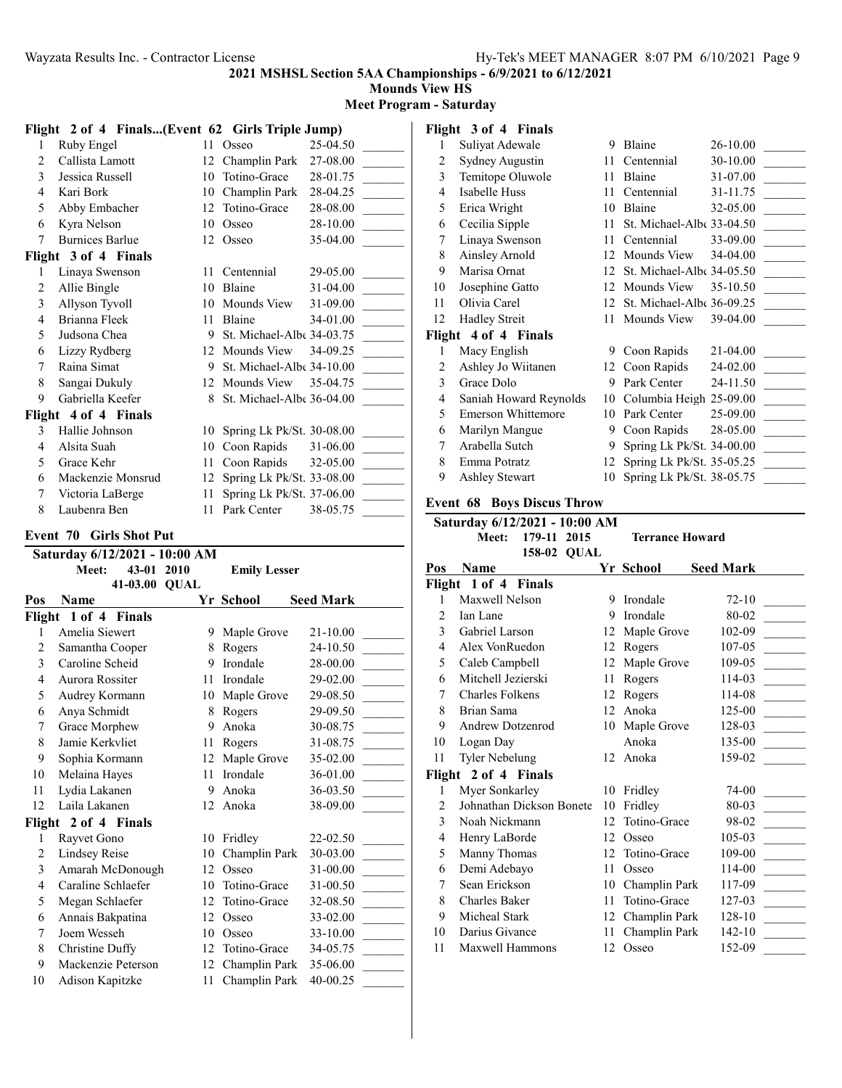**Mounds View HS**

#### **Meet Program - Saturday**

|                         | Flight 2 of 4 Finals(Event 62 Girls Triple Jump) |          |                                |                      |                         | Flight 3 of 4 Finals       |
|-------------------------|--------------------------------------------------|----------|--------------------------------|----------------------|-------------------------|----------------------------|
| $\mathbf{1}$            | Ruby Engel                                       |          | 11 Osseo                       | 25-04.50             | 1                       | Suliyat Adewale            |
| $\overline{c}$          | Callista Lamott                                  |          | 12 Champlin Park               | 27-08.00             | $\overline{c}$          | Sydney Augustin            |
| 3                       | Jessica Russell                                  | 10       | Totino-Grace                   | 28-01.75             | $\overline{3}$          | Temitope Oluwole           |
| $\overline{\mathbf{4}}$ | Kari Bork                                        |          | 10 Champlin Park               | 28-04.25             | $\overline{4}$          | Isabelle Huss              |
| 5                       | Abby Embacher                                    |          | 12 Totino-Grace                | 28-08.00             | 5                       | Erica Wright               |
| 6                       | Kyra Nelson                                      |          | 10 Osseo                       | 28-10.00             | 6                       | Cecilia Sipple             |
| $\overline{7}$          | <b>Burnices Barlue</b>                           |          | 12 Osseo                       | 35-04.00             | 7                       | Linaya Swenson             |
|                         | Flight 3 of 4 Finals                             |          |                                |                      | 8                       | Ainsley Arnold             |
| 1                       | Linaya Swenson                                   |          | 11 Centennial                  | 29-05.00             | 9                       | Marisa Ornat               |
| $\overline{c}$          | Allie Bingle                                     |          | 10 Blaine                      | 31-04.00             | 10                      | Josephine Gatto            |
| 3                       | Allyson Tyvoll                                   |          | 10 Mounds View                 | 31-09.00             | 11                      | Olivia Carel               |
| $\overline{\mathbf{4}}$ | Brianna Fleek                                    |          | 11 Blaine                      | 34-01.00             | 12                      | <b>Hadley Streit</b>       |
| 5                       | Judsona Chea                                     |          | 9 St. Michael-Albe 34-03.75    |                      |                         | Flight 4 of 4 Finals       |
| 6                       | Lizzy Rydberg                                    |          | 12 Mounds View                 | 34-09.25             | 1                       | Macy English               |
| $\overline{7}$          | Raina Simat                                      |          | 9 St. Michael-Albe 34-10.00    |                      | $\overline{c}$          | Ashley Jo Wiitanen         |
| $\,8\,$                 | Sangai Dukuly                                    |          | 12 Mounds View                 | 35-04.75             | $\overline{3}$          | Grace Dolo                 |
| 9                       | Gabriella Keefer                                 |          | 8 St. Michael-Albe 36-04.00    |                      | 4                       | Saniah Howard Rey          |
|                         | Flight 4 of 4 Finals                             |          |                                |                      | 5                       | Emerson Whittemo           |
| 3                       | Hallie Johnson                                   | 10       | Spring Lk Pk/St. 30-08.00      |                      | 6                       | Marilyn Mangue             |
| 4                       | Alsita Suah                                      |          | 10 Coon Rapids                 | 31-06.00             | 7                       | Arabella Sutch             |
| 5                       | Grace Kehr                                       |          | 11 Coon Rapids                 | 32-05.00             | 8                       | Emma Potratz               |
| 6                       | Mackenzie Monsrud                                |          | 12 Spring Lk Pk/St. 33-08.00   |                      | 9                       | <b>Ashley Stewart</b>      |
| $\boldsymbol{7}$        | Victoria LaBerge                                 | 11       | Spring Lk Pk/St. 37-06.00      |                      |                         |                            |
| 8                       | Laubenra Ben                                     |          | 11 Park Center                 | 38-05.75             |                         | <b>Event 68 Boys Discu</b> |
|                         |                                                  |          |                                |                      |                         | Saturday 6/12/2021 -       |
|                         | <b>Event 70 Girls Shot Put</b>                   |          |                                |                      |                         | Meet:<br>179-11            |
|                         | Saturday 6/12/2021 - 10:00 AM                    |          |                                |                      |                         | 158-02                     |
|                         |                                                  |          |                                |                      |                         |                            |
|                         | 43-01 2010<br><b>Meet:</b>                       |          | <b>Emily Lesser</b>            |                      | Pos                     | Name                       |
|                         | 41-03.00 QUAL                                    |          |                                |                      |                         | Flight 1 of 4 Finals       |
| Pos                     | <b>Name</b>                                      |          | Yr School                      | <b>Seed Mark</b>     | 1                       | Maxwell Nelson             |
|                         | Flight 1 of 4 Finals                             |          |                                |                      | $\overline{2}$          | Ian Lane                   |
| 1                       | Amelia Siewert                                   |          | 9 Maple Grove                  | 21-10.00             | 3                       | Gabriel Larson             |
| $\boldsymbol{2}$        | Samantha Cooper                                  |          | 8 Rogers                       | 24-10.50             | 4                       | Alex VonRuedon             |
| 3                       | Caroline Scheid                                  |          | 9 Irondale                     | 28-00.00             | 5                       | Caleb Campbell             |
| $\overline{\mathbf{4}}$ | Aurora Rossiter                                  | 11       | Irondale                       | 29-02.00             | 6                       | Mitchell Jezierski         |
| 5                       | Audrey Kormann                                   |          | 10 Maple Grove                 | 29-08.50             | $\tau$                  | Charles Folkens            |
| 6                       | Anya Schmidt                                     | 8        | Rogers                         | 29-09.50             | 8                       | Brian Sama                 |
| $\tau$                  | Grace Morphew                                    | 9        | Anoka                          | 30-08.75             | 9                       | Andrew Dotzenrod           |
| 8                       | Jamie Kerkvliet                                  | 11       | Rogers                         | 31-08.75             | 10                      | Logan Day                  |
| 9                       | Sophia Kormann                                   | 12       | Maple Grove                    | 35-02.00             | 11                      | <b>Tyler Nebelung</b>      |
| 10                      | Melaina Hayes                                    | 11       | Irondale                       | 36-01.00             |                         | Flight 2 of 4 Finals       |
| 11                      | Lydia Lakanen                                    | 9        | Anoka                          | 36-03.50             | 1                       | Myer Sonkarley             |
| 12                      | Laila Lakanen                                    |          | 12 Anoka                       | 38-09.00             | $\mathfrak{2}$          | Johnathan Dickson          |
|                         | Flight 2 of 4 Finals                             |          |                                |                      | 3                       | Noah Nickmann              |
| 1                       | Rayvet Gono                                      |          | 10 Fridley                     | 22-02.50             | $\overline{\mathbf{4}}$ | Henry LaBorde              |
| $\sqrt{2}$              | <b>Lindsey Reise</b>                             | 10       | Champlin Park                  | 30-03.00             | 5                       | Manny Thomas               |
| 3                       | Amarah McDonough                                 |          | 12 Osseo                       | 31-00.00             | 6                       | Demi Adebayo               |
| $\overline{\mathbf{4}}$ | Caraline Schlaefer                               | 10       | Totino-Grace                   | 31-00.50             | 7                       | Sean Erickson              |
| 5                       | Megan Schlaefer                                  | 12       | Totino-Grace                   | 32-08.50             | 8                       | Charles Baker              |
| 6                       | Annais Bakpatina                                 |          | 12 Osseo                       | 33-02.00             | 9                       | Micheal Stark              |
| $\boldsymbol{7}$        | Joem Wesseh                                      | 10       | Osseo                          | 33-10.00             | 10                      | Darius Givance             |
| $\,$ 8 $\,$             | Christine Duffy                                  | 12       | Totino-Grace                   | 34-05.75             | 11                      | Maxwell Hammons            |
| 9<br>10                 | Mackenzie Peterson<br>Adison Kapitzke            | 12<br>11 | Champlin Park<br>Champlin Park | 35-06.00<br>40-00.25 |                         |                            |

| 1      | Suliyat Adewale           | 9  | Blaine                    | 26-10.00 |
|--------|---------------------------|----|---------------------------|----------|
| 2      | Sydney Augustin           | 11 | Centennial                | 30-10.00 |
| 3      | Temitope Oluwole          | 11 | Blaine                    | 31-07.00 |
| 4      | Isabelle Huss             | 11 | Centennial                | 31-11.75 |
| 5      | Erica Wright              | 10 | Blaine                    | 32-05.00 |
| 6      | Cecilia Sipple            | 11 | St. Michael-Albe 33-04.50 |          |
| 7      | Linaya Swenson            | 11 | Centennial                | 33-09.00 |
| 8      | Ainsley Arnold            | 12 | Mounds View               | 34-04.00 |
| 9      | Marisa Ornat              | 12 | St. Michael-Albe 34-05.50 |          |
| 10     | Josephine Gatto           | 12 | Mounds View               | 35-10.50 |
| 11     | Olivia Carel              | 12 | St. Michael-Albe 36-09.25 |          |
|        |                           |    |                           |          |
| 12     | <b>Hadley Streit</b>      | 11 | Mounds View               | 39-04.00 |
| Flight | 4 of 4 Finals             |    |                           |          |
| 1      | Macy English              | 9  | Coon Rapids               | 21-04.00 |
| 2      | Ashley Jo Wiitanen        | 12 | Coon Rapids               | 24-02.00 |
| 3      | Grace Dolo                | 9  | Park Center               | 24-11.50 |
| 4      | Saniah Howard Reynolds    | 10 | Columbia Heigh 25-09.00   |          |
| 5      | <b>Emerson Whittemore</b> | 10 | Park Center               | 25-09.00 |
| 6      | Marilyn Mangue            | 9  | Coon Rapids               | 28-05.00 |
| 7      | Arabella Sutch            | 9  | Spring Lk Pk/St. 34-00.00 |          |
| 8      | Emma Potratz              | 12 | Spring Lk Pk/St. 35-05.25 |          |
| 9      | <b>Ashley Stewart</b>     | 10 | Spring Lk Pk/St. 38-05.75 |          |

## **Event 68 Boys Discus Throw**

|                | Saturday 6/12/2021 - 10:00 AM |    |                        |                  |
|----------------|-------------------------------|----|------------------------|------------------|
|                | 179-11<br>2015<br>Meet:       |    | <b>Terrance Howard</b> |                  |
|                | 158-02 OUAL                   |    |                        |                  |
| Pos            | Name                          |    | Yr School              | <b>Seed Mark</b> |
| Flight         | 1 of 4 Finals                 |    |                        |                  |
| 1              | Maxwell Nelson                | 9  | Irondale               | $72 - 10$        |
| $\overline{c}$ | Ian Lane                      | 9  | Irondale               | 80-02            |
| 3              | Gabriel Larson                | 12 | Maple Grove            | 102-09           |
| 4              | Alex VonRuedon                | 12 | Rogers                 | 107-05           |
| 5              | Caleb Campbell                | 12 | Maple Grove            | 109-05           |
| 6              | Mitchell Jezierski            | 11 | Rogers                 | 114-03           |
| 7              | Charles Folkens               | 12 | Rogers                 | 114-08           |
| 8              | Brian Sama                    | 12 | Anoka                  | 125-00           |
| 9              | Andrew Dotzenrod              | 10 | Maple Grove            | 128-03           |
| 10             | Logan Day                     |    | Anoka                  | 135-00           |
| 11             | <b>Tyler Nebelung</b>         | 12 | Anoka                  | 159-02           |
| Flight         | 2 of 4 Finals                 |    |                        |                  |
| 1              | Myer Sonkarley                | 10 | Fridley                | 74-00            |
| 2              | Johnathan Dickson Bonete      | 10 | Fridley                | 80-03            |
| 3              | Noah Nickmann                 | 12 | Totino-Grace           | 98-02            |
| 4              | Henry LaBorde                 | 12 | Osseo                  | 105-03           |
| 5              | Manny Thomas                  | 12 | Totino-Grace           | 109-00           |
| 6              | Demi Adebayo                  | 11 | Osseo                  | 114-00           |
| 7              | Sean Erickson                 | 10 | Champlin Park          | 117-09           |
| 8              | <b>Charles Baker</b>          | 11 | Totino-Grace           | 127-03           |
| 9              | Micheal Stark                 | 12 | Champlin Park          | 128-10           |
| 10             | Darius Givance                | 11 | Champlin Park          | $142 - 10$       |
| 11             | <b>Maxwell Hammons</b>        | 12 | Osseo                  | 152-09           |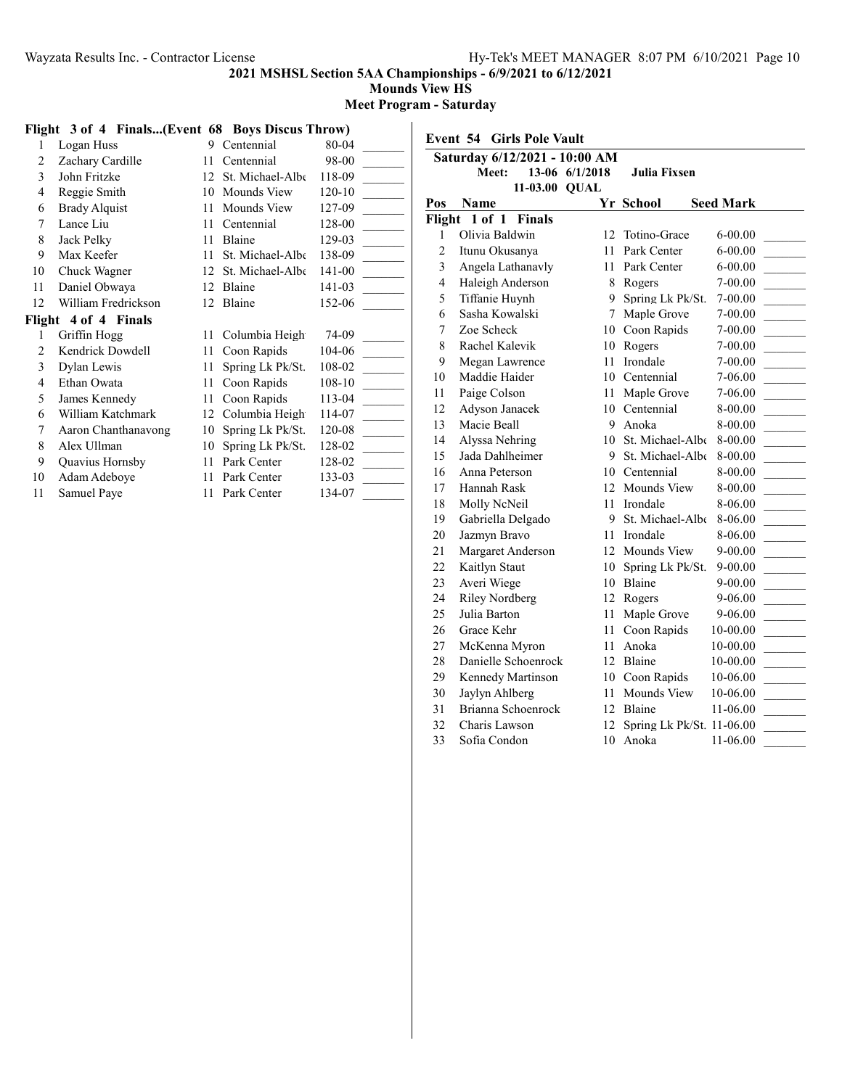## **Mounds View HS**

**Meet Program - Saturday**

## **Flight 3 of 4 Finals...(Event 68 Boys Discus Throw)**

| 1  | Logan Huss           | 9  | Centennial       | 80-04  |
|----|----------------------|----|------------------|--------|
| 2  | Zachary Cardille     | 11 | Centennial       | 98-00  |
| 3  | John Fritzke         | 12 | St. Michael-Albe | 118-09 |
| 4  | Reggie Smith         | 10 | Mounds View      | 120-10 |
| 6  | <b>Brady Alquist</b> | 11 | Mounds View      | 127-09 |
| 7  | Lance Liu            | 11 | Centennial       | 128-00 |
| 8  | Jack Pelky           | 11 | Blaine           | 129-03 |
| 9  | Max Keefer           | 11 | St. Michael-Albe | 138-09 |
| 10 | Chuck Wagner         | 12 | St. Michael-Albe | 141-00 |
| 11 | Daniel Obwaya        | 12 | Blaine           | 141-03 |
| 12 | William Fredrickson  |    | 12 Blaine        | 152-06 |
|    | Flight 4 of 4 Finals |    |                  |        |
| 1  | Griffin Hogg         | 11 | Columbia Heigh   | 74-09  |
| 2  | Kendrick Dowdell     | 11 | Coon Rapids      | 104-06 |
| 3  | Dylan Lewis          | 11 | Spring Lk Pk/St. | 108-02 |
| 4  | Ethan Owata          | 11 | Coon Rapids      | 108-10 |
| 5  | James Kennedy        | 11 | Coon Rapids      | 113-04 |
| 6  | William Katchmark    | 12 | Columbia Heigh   | 114-07 |
| 7  | Aaron Chanthanavong  | 10 | Spring Lk Pk/St. | 120-08 |
| 8  | Alex Ullman          | 10 | Spring Lk Pk/St. | 128-02 |
| 9  | Quavius Hornsby      | 11 | Park Center      | 128-02 |
| 10 | Adam Adeboye         | 11 | Park Center      | 133-03 |
| 11 | Samuel Paye          | 11 | Park Center      | 134-07 |
|    |                      |    |                  |        |

| <b>Event 54 Girls Pole Vault</b> |                               |                |                           |                  |  |  |  |  |
|----------------------------------|-------------------------------|----------------|---------------------------|------------------|--|--|--|--|
|                                  | Saturday 6/12/2021 - 10:00 AM |                |                           |                  |  |  |  |  |
|                                  | <b>Meet:</b>                  | 13-06 6/1/2018 | Julia Fixsen              |                  |  |  |  |  |
|                                  | 11-03.00 QUAL                 |                |                           |                  |  |  |  |  |
| Pos                              | Name                          |                | Yr School                 | <b>Seed Mark</b> |  |  |  |  |
|                                  | Flight 1 of 1 Finals          |                |                           |                  |  |  |  |  |
| 1                                | Olivia Baldwin                | 12             | Totino-Grace              | 6-00.00          |  |  |  |  |
| $\overline{c}$                   | Itunu Okusanya                | 11             | Park Center               | $6 - 00.00$      |  |  |  |  |
| $\overline{\mathbf{3}}$          | Angela Lathanavly             | 11             | Park Center               | $6 - 00.00$      |  |  |  |  |
| $\overline{4}$                   | Haleigh Anderson              | 8              | Rogers                    | 7-00.00          |  |  |  |  |
| 5                                | Tiffanie Huynh                | 9              | Spring Lk Pk/St.          | 7-00.00          |  |  |  |  |
| 6                                | Sasha Kowalski                | 7              | Maple Grove               | $7 - 00.00$      |  |  |  |  |
| 7                                | Zoe Scheck                    |                | 10 Coon Rapids            | 7-00.00          |  |  |  |  |
| 8                                | Rachel Kalevik                | 10             | Rogers                    | 7-00.00          |  |  |  |  |
| 9                                | Megan Lawrence                | 11             | Irondale                  | 7-00.00          |  |  |  |  |
| 10                               | Maddie Haider                 |                | 10 Centennial             | 7-06.00          |  |  |  |  |
| 11                               | Paige Colson                  | 11             | Maple Grove               | 7-06.00          |  |  |  |  |
| 12                               | Adyson Janacek                |                | 10 Centennial             | 8-00.00          |  |  |  |  |
| 13                               | Macie Beall                   | 9              | Anoka                     | $8 - 00.00$      |  |  |  |  |
| 14                               | Alyssa Nehring                |                | 10 St. Michael-Albe       | 8-00.00          |  |  |  |  |
| 15                               | Jada Dahlheimer               | 9              | St. Michael-Albe          | 8-00.00          |  |  |  |  |
| 16                               | Anna Peterson                 |                | 10 Centennial             | 8-00.00          |  |  |  |  |
| 17                               | Hannah Rask                   | 12             | Mounds View               | 8-00.00          |  |  |  |  |
| 18                               | Molly NcNeil                  | 11             | Irondale                  | 8-06.00          |  |  |  |  |
| 19                               | Gabriella Delgado             | 9              | St. Michael-Albe          | 8-06.00          |  |  |  |  |
| 20                               | Jazmyn Bravo                  | 11             | Irondale                  | 8-06.00          |  |  |  |  |
| 21                               | Margaret Anderson             | 12             | Mounds View               | 9-00.00          |  |  |  |  |
| 22                               | Kaitlyn Staut                 | 10             | Spring Lk Pk/St.          | 9-00.00          |  |  |  |  |
| 23                               | Averi Wiege                   |                | 10 Blaine                 | 9-00.00          |  |  |  |  |
| 24                               | <b>Riley Nordberg</b>         | 12             | Rogers                    | 9-06.00          |  |  |  |  |
| 25                               | Julia Barton                  | 11.            | Maple Grove               | 9-06.00          |  |  |  |  |
| 26                               | Grace Kehr                    |                | 11 Coon Rapids            | 10-00.00         |  |  |  |  |
| 27                               | McKenna Myron                 | 11             | Anoka                     | 10-00.00         |  |  |  |  |
| 28                               | Danielle Schoenrock           | 12             | Blaine                    | 10-00.00         |  |  |  |  |
| 29                               | Kennedy Martinson             |                | 10 Coon Rapids            | 10-06.00         |  |  |  |  |
| 30                               | Jaylyn Ahlberg                | 11             | Mounds View               | 10-06.00         |  |  |  |  |
| 31                               | Brianna Schoenrock            | 12             | Blaine                    | 11-06.00         |  |  |  |  |
| 32                               | Charis Lawson                 | 12             | Spring Lk Pk/St. 11-06.00 |                  |  |  |  |  |
| 33                               | Sofia Condon                  | 10             | Anoka                     | 11-06.00         |  |  |  |  |